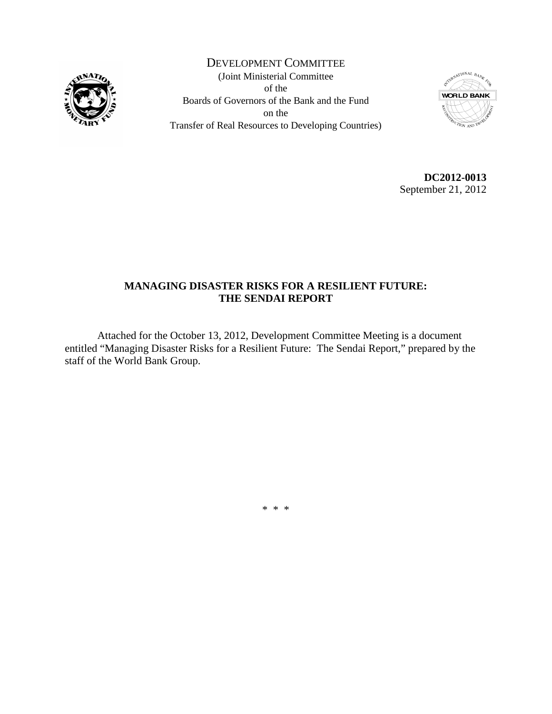

DEVELOPMENT COMMITTEE (Joint Ministerial Committee of the Boards of Governors of the Bank and the Fund on the Transfer of Real Resources to Developing Countries)



**DC2012-0013** September 21, 2012

### **MANAGING DISASTER RISKS FOR A RESILIENT FUTURE: THE SENDAI REPORT**

Attached for the October 13, 2012, Development Committee Meeting is a document entitled "Managing Disaster Risks for a Resilient Future: The Sendai Report," prepared by the staff of the World Bank Group.

\* \* \*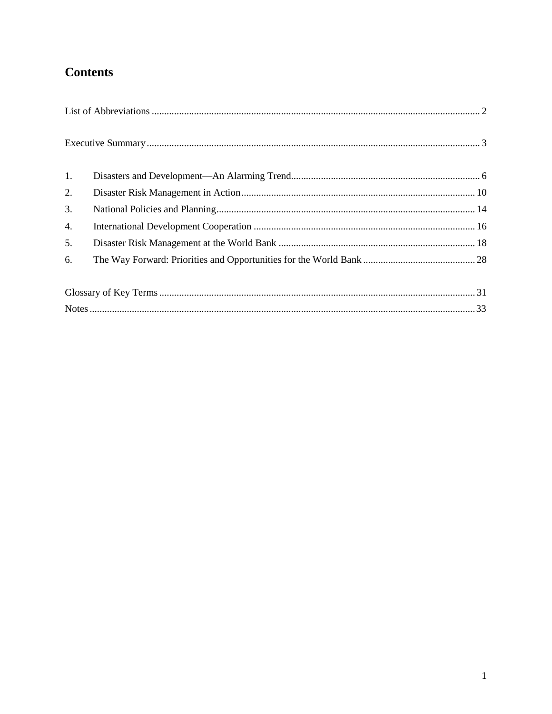# **Contents**

| 1. |  |  |
|----|--|--|
| 2. |  |  |
| 3. |  |  |
| 4. |  |  |
| 5. |  |  |
| 6. |  |  |
|    |  |  |
|    |  |  |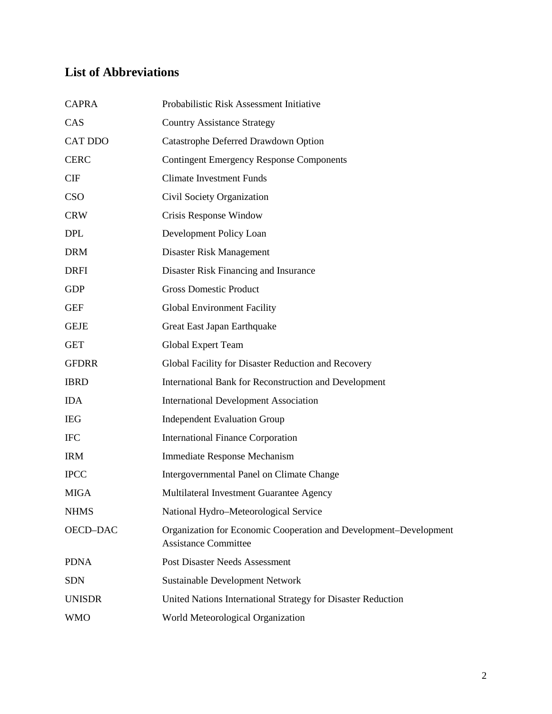# <span id="page-3-0"></span>**List of Abbreviations**

| <b>CAPRA</b>   | Probabilistic Risk Assessment Initiative                                                         |
|----------------|--------------------------------------------------------------------------------------------------|
| CAS            | <b>Country Assistance Strategy</b>                                                               |
| <b>CAT DDO</b> | Catastrophe Deferred Drawdown Option                                                             |
| <b>CERC</b>    | <b>Contingent Emergency Response Components</b>                                                  |
| CIF            | <b>Climate Investment Funds</b>                                                                  |
| <b>CSO</b>     | Civil Society Organization                                                                       |
| <b>CRW</b>     | Crisis Response Window                                                                           |
| <b>DPL</b>     | Development Policy Loan                                                                          |
| <b>DRM</b>     | Disaster Risk Management                                                                         |
| <b>DRFI</b>    | Disaster Risk Financing and Insurance                                                            |
| <b>GDP</b>     | <b>Gross Domestic Product</b>                                                                    |
| <b>GEF</b>     | <b>Global Environment Facility</b>                                                               |
| <b>GEJE</b>    | Great East Japan Earthquake                                                                      |
| <b>GET</b>     | <b>Global Expert Team</b>                                                                        |
| <b>GFDRR</b>   | Global Facility for Disaster Reduction and Recovery                                              |
| <b>IBRD</b>    | International Bank for Reconstruction and Development                                            |
| <b>IDA</b>     | <b>International Development Association</b>                                                     |
| <b>IEG</b>     | <b>Independent Evaluation Group</b>                                                              |
| <b>IFC</b>     | <b>International Finance Corporation</b>                                                         |
| <b>IRM</b>     | Immediate Response Mechanism                                                                     |
| <b>IPCC</b>    | Intergovernmental Panel on Climate Change                                                        |
| <b>MIGA</b>    | Multilateral Investment Guarantee Agency                                                         |
| <b>NHMS</b>    | National Hydro-Meteorological Service                                                            |
| OECD-DAC       | Organization for Economic Cooperation and Development–Development<br><b>Assistance Committee</b> |
| <b>PDNA</b>    | Post Disaster Needs Assessment                                                                   |
| <b>SDN</b>     | Sustainable Development Network                                                                  |
| <b>UNISDR</b>  | United Nations International Strategy for Disaster Reduction                                     |
| <b>WMO</b>     | World Meteorological Organization                                                                |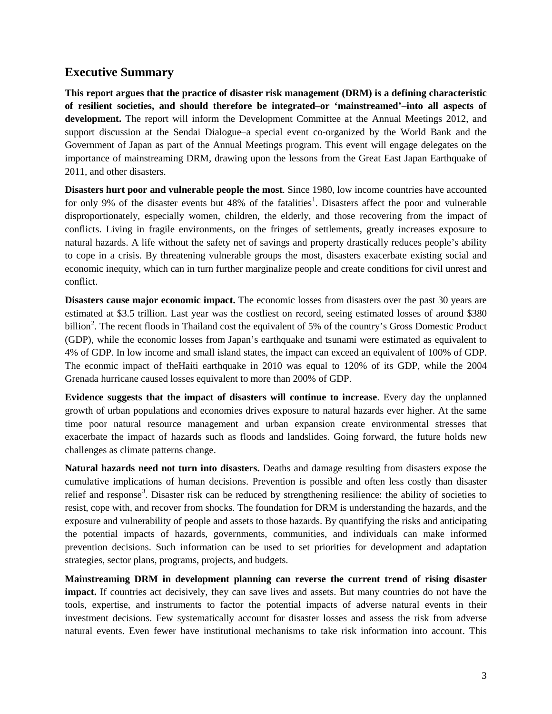### <span id="page-4-0"></span>**Executive Summary**

**This report argues that the practice of disaster risk management (DRM) is a defining characteristic of resilient societies, and should therefore be integrated–or 'mainstreamed'–into all aspects of development.** The report will inform the Development Committee at the Annual Meetings 2012, and support discussion at the Sendai Dialogue–a special event co-organized by the World Bank and the Government of Japan as part of the Annual Meetings program. This event will engage delegates on the importance of mainstreaming DRM, drawing upon the lessons from the Great East Japan Earthquake of 2011, and other disasters.

**Disasters hurt poor and vulnerable people the most**. Since 1980, low income countries have accounted for only 9% of the disaster events but 48% of the fatalities<sup>[1](#page-34-1)</sup>. Disasters affect the poor and vulnerable disproportionately, especially women, children, the elderly, and those recovering from the impact of conflicts. Living in fragile environments, on the fringes of settlements, greatly increases exposure to natural hazards. A life without the safety net of savings and property drastically reduces people's ability to cope in a crisis. By threatening vulnerable groups the most, disasters exacerbate existing social and economic inequity, which can in turn further marginalize people and create conditions for civil unrest and conflict.

**Disasters cause major economic impact.** The economic losses from disasters over the past 30 years are estimated at \$3.5 trillion. Last year was the costliest on record, seeing estimated losses of around \$380 billion<sup>[2](#page-34-2)</sup>. The recent floods in Thailand cost the equivalent of 5% of the country's Gross Domestic Product (GDP), while the economic losses from Japan's earthquake and tsunami were estimated as equivalent to 4% of GDP. In low income and small island states, the impact can exceed an equivalent of 100% of GDP. The econmic impact of theHaiti earthquake in 2010 was equal to 120% of its GDP, while the 2004 Grenada hurricane caused losses equivalent to more than 200% of GDP.

**Evidence suggests that the impact of disasters will continue to increase**. Every day the unplanned growth of urban populations and economies drives exposure to natural hazards ever higher. At the same time poor natural resource management and urban expansion create environmental stresses that exacerbate the impact of hazards such as floods and landslides. Going forward, the future holds new challenges as climate patterns change.

**Natural hazards need not turn into disasters.** Deaths and damage resulting from disasters expose the cumulative implications of human decisions. Prevention is possible and often less costly than disaster relief and response<sup>[3](#page-34-3)</sup>. Disaster risk can be reduced by strengthening resilience: the ability of societies to resist, cope with, and recover from shocks. The foundation for DRM is understanding the hazards, and the exposure and vulnerability of people and assets to those hazards. By quantifying the risks and anticipating the potential impacts of hazards, governments, communities, and individuals can make informed prevention decisions. Such information can be used to set priorities for development and adaptation strategies, sector plans, programs, projects, and budgets.

**Mainstreaming DRM in development planning can reverse the current trend of rising disaster impact.** If countries act decisively, they can save lives and assets. But many countries do not have the tools, expertise, and instruments to factor the potential impacts of adverse natural events in their investment decisions. Few systematically account for disaster losses and assess the risk from adverse natural events. Even fewer have institutional mechanisms to take risk information into account. This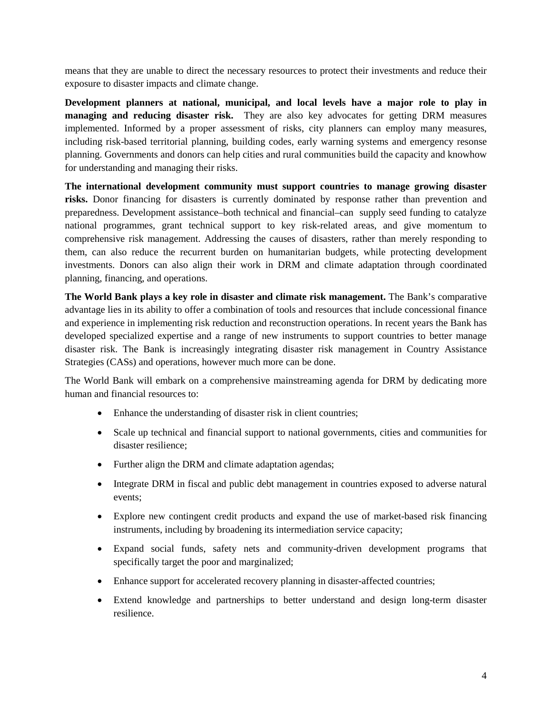means that they are unable to direct the necessary resources to protect their investments and reduce their exposure to disaster impacts and climate change.

**Development planners at national, municipal, and local levels have a major role to play in managing and reducing disaster risk.** They are also key advocates for getting DRM measures implemented. Informed by a proper assessment of risks, city planners can employ many measures, including risk-based territorial planning, building codes, early warning systems and emergency resonse planning. Governments and donors can help cities and rural communities build the capacity and knowhow for understanding and managing their risks.

**The international development community must support countries to manage growing disaster risks.** Donor financing for disasters is currently dominated by response rather than prevention and preparedness. Development assistance–both technical and financial–can supply seed funding to catalyze national programmes, grant technical support to key risk-related areas, and give momentum to comprehensive risk management. Addressing the causes of disasters, rather than merely responding to them, can also reduce the recurrent burden on humanitarian budgets, while protecting development investments. Donors can also align their work in DRM and climate adaptation through coordinated planning, financing, and operations.

**The World Bank plays a key role in disaster and climate risk management.** The Bank's comparative advantage lies in its ability to offer a combination of tools and resources that include concessional finance and experience in implementing risk reduction and reconstruction operations. In recent years the Bank has developed specialized expertise and a range of new instruments to support countries to better manage disaster risk. The Bank is increasingly integrating disaster risk management in Country Assistance Strategies (CASs) and operations, however much more can be done.

The World Bank will embark on a comprehensive mainstreaming agenda for DRM by dedicating more human and financial resources to:

- Enhance the understanding of disaster risk in client countries;
- Scale up technical and financial support to national governments, cities and communities for disaster resilience;
- Further align the DRM and climate adaptation agendas;
- Integrate DRM in fiscal and public debt management in countries exposed to adverse natural events;
- Explore new contingent credit products and expand the use of market-based risk financing instruments, including by broadening its intermediation service capacity;
- Expand social funds, safety nets and community-driven development programs that specifically target the poor and marginalized;
- Enhance support for accelerated recovery planning in disaster-affected countries;
- Extend knowledge and partnerships to better understand and design long-term disaster resilience.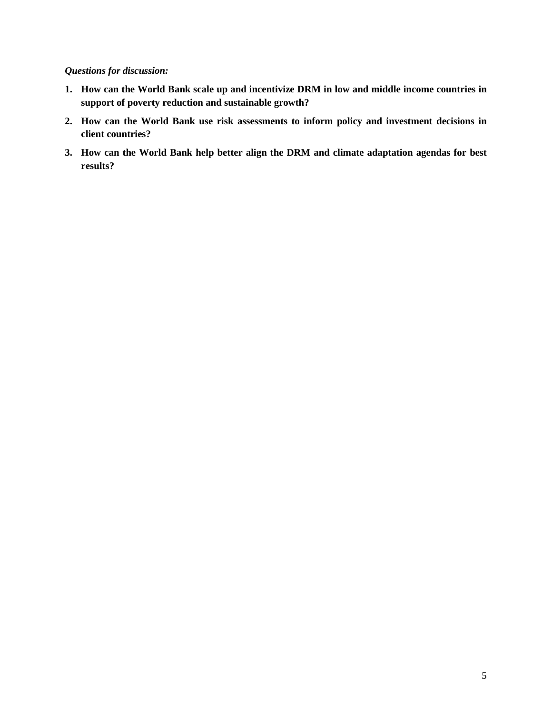### *Questions for discussion:*

- **1. How can the World Bank scale up and incentivize DRM in low and middle income countries in support of poverty reduction and sustainable growth?**
- **2. How can the World Bank use risk assessments to inform policy and investment decisions in client countries?**
- **3. How can the World Bank help better align the DRM and climate adaptation agendas for best results?**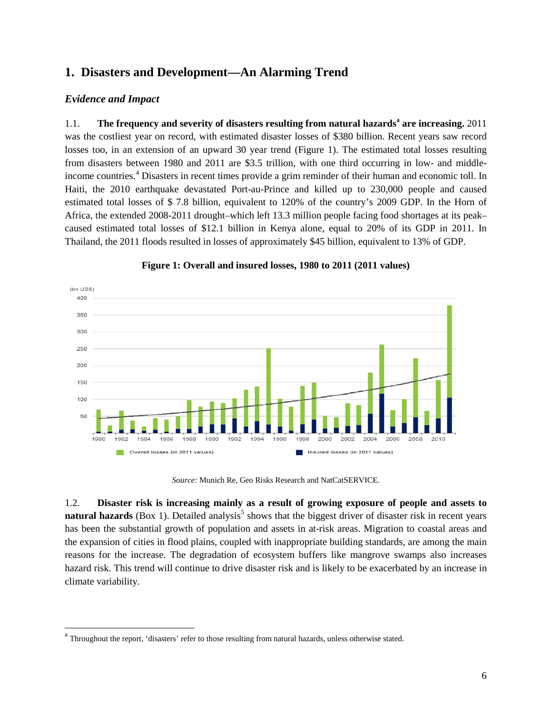# <span id="page-7-0"></span>**1. Disasters and Development—An Alarming Trend**

### *Evidence and Impact*

1.1. **The frequency and severity of disasters resulting from natural hazards[a](#page-7-1) are increasing.** 2011 was the costliest year on record, with estimated disaster losses of \$380 billion. Recent years saw record losses too, in an extension of an upward 30 year trend (Figure 1). The estimated total losses resulting from disasters between 1980 and 2011 are \$3.5 trillion, with one third occurring in low- and middleincome countries. [4](#page-35-0) Disasters in recent times provide a grim reminder of their human and economic toll. In Haiti, the 2010 earthquake devastated Port-au-Prince and killed up to 230,000 people and caused estimated total losses of \$ 7.8 billion, equivalent to 120% of the country's 2009 GDP. In the Horn of Africa, the extended 2008-2011 drought–which left 13.3 million people facing food shortages at its peak– caused estimated total losses of \$12.1 billion in Kenya alone, equal to 20% of its GDP in 2011. In Thailand, the 2011 floods resulted in losses of approximately \$45 billion, equivalent to 13% of GDP.



#### **Figure 1: Overall and insured losses, 1980 to 2011 (2011 values)**

*Source:* Munich Re, Geo Risks Research and NatCatSERVICE.

1.2. **Disaster risk is increasing mainly as a result of growing exposure of people and assets to natural hazards** (Box 1). Detailed analysis<sup>[5](#page-35-1)</sup> shows that the biggest driver of disaster risk in recent years has been the substantial growth of population and assets in at-risk areas. Migration to coastal areas and the expansion of cities in flood plains, coupled with inappropriate building standards, are among the main reasons for the increase. The degradation of ecosystem buffers like mangrove swamps also increases hazard risk. This trend will continue to drive disaster risk and is likely to be exacerbated by an increase in climate variability.

<span id="page-7-1"></span><sup>&</sup>lt;sup>a</sup> Throughout the report, 'disasters' refer to those resulting from natural hazards, unless otherwise stated.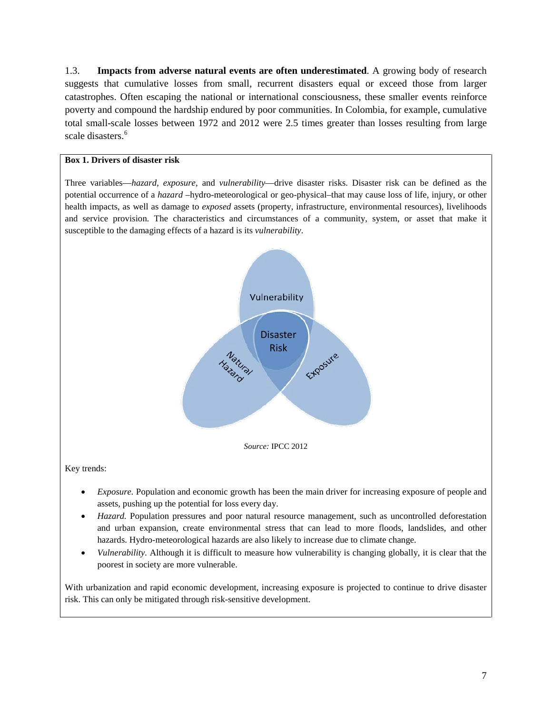1.3. **Impacts from adverse natural events are often underestimated**. A growing body of research suggests that cumulative losses from small, recurrent disasters equal or exceed those from larger catastrophes. Often escaping the national or international consciousness, these smaller events reinforce poverty and compound the hardship endured by poor communities. In Colombia, for example, cumulative total small-scale losses between 1972 and 2012 were 2.5 times greater than losses resulting from large scale disasters.<sup>[6](#page-36-0)</sup>

### **Box 1. Drivers of disaster risk**

Three variables—*hazard*, *exposure*, and *vulnerability*—drive disaster risks. Disaster risk can be defined as the potential occurrence of a *hazard* –hydro-meteorological or geo-physical–that may cause loss of life, injury, or other health impacts, as well as damage to *exposed* assets (property, infrastructure, environmental resources), livelihoods and service provision. The characteristics and circumstances of a community, system, or asset that make it susceptible to the damaging effects of a hazard is its *vulnerability*.



- *Hazard*. Population pressures and poor natural resource management, such as uncontrolled deforestation and urban expansion, create environmental stress that can lead to more floods, landslides, and other hazards. Hydro-meteorological hazards are also likely to increase due to climate change.
- *Vulnerability.* Although it is difficult to measure how vulnerability is changing globally, it is clear that the poorest in society are more vulnerable.

With urbanization and rapid economic development, increasing exposure is projected to continue to drive disaster risk. This can only be mitigated through risk-sensitive development.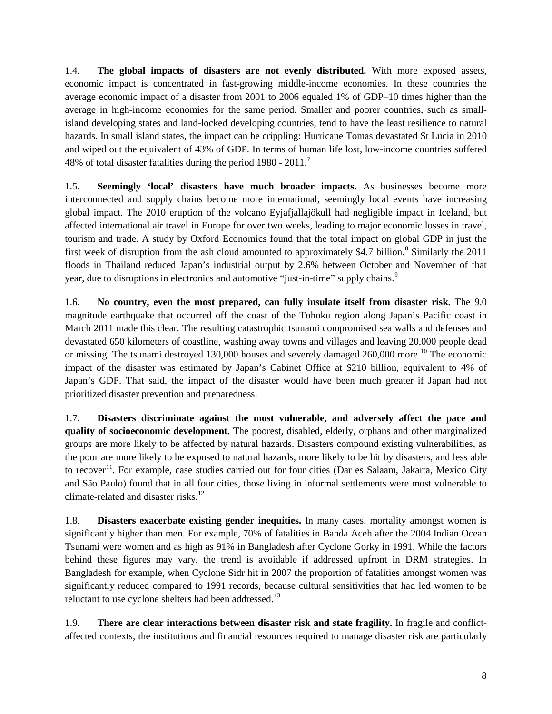1.4. **The global impacts of disasters are not evenly distributed.** With more exposed assets, economic impact is concentrated in fast-growing middle-income economies. In these countries the average economic impact of a disaster from 2001 to 2006 equaled 1% of GDP–10 times higher than the average in high-income economies for the same period. Smaller and poorer countries, such as smallisland developing states and land-locked developing countries, tend to have the least resilience to natural hazards. In small island states, the impact can be crippling: Hurricane Tomas devastated St Lucia in 2010 and wiped out the equivalent of 43% of GDP. In terms of human life lost, low-income countries suffered 48% of total disaster fatalities during the period 1980 - 2011.<sup>[7](#page-36-1)</sup>

1.5. **Seemingly 'local' disasters have much broader impacts.** As businesses become more interconnected and supply chains become more international, seemingly local events have increasing global impact. The 2010 eruption of the volcano Eyjafjallajökull had negligible impact in Iceland, but affected international air travel in Europe for over two weeks, leading to major economic losses in travel, tourism and trade. A study by Oxford Economics found that the total impact on global GDP in just the first week of disruption from the ash cloud amounted to approximately \$4.7 billion.<sup>[8](#page-36-2)</sup> Similarly the 2011 floods in Thailand reduced Japan's industrial output by 2.6% between October and November of that year, due to disruptions in electronics and automotive "just-in-time" supply chains.<sup>[9](#page-36-3)</sup>

1.6. **No country, even the most prepared, can fully insulate itself from disaster risk.** The 9.0 magnitude earthquake that occurred off the coast of the Tohoku region along Japan's Pacific coast in March 2011 made this clear. The resulting catastrophic tsunami compromised sea walls and defenses and devastated 650 kilometers of coastline, washing away towns and villages and leaving 20,000 people dead or missing. The tsunami destroyed 130,000 houses and severely damaged 260,000 more.<sup>[10](#page-36-4)</sup> The economic impact of the disaster was estimated by Japan's Cabinet Office at \$210 billion, equivalent to 4% of Japan's GDP. That said, the impact of the disaster would have been much greater if Japan had not prioritized disaster prevention and preparedness.

1.7. **Disasters discriminate against the most vulnerable, and adversely affect the pace and quality of socioeconomic development.** The poorest, disabled, elderly, orphans and other marginalized groups are more likely to be affected by natural hazards. Disasters compound existing vulnerabilities, as the poor are more likely to be exposed to natural hazards, more likely to be hit by disasters, and less able to recover<sup>11</sup>. For example, case studies carried out for four cities (Dar es Salaam, Jakarta, Mexico City and São Paulo) found that in all four cities, those living in informal settlements were most vulnerable to climate-related and disaster risks.<sup>[12](#page-36-6)</sup>

1.8. **Disasters exacerbate existing gender inequities.** In many cases, mortality amongst women is significantly higher than men. For example, 70% of fatalities in Banda Aceh after the 2004 Indian Ocean Tsunami were women and as high as 91% in Bangladesh after Cyclone Gorky in 1991. While the factors behind these figures may vary, the trend is avoidable if addressed upfront in DRM strategies. In Bangladesh for example, when Cyclone Sidr hit in 2007 the proportion of fatalities amongst women was significantly reduced compared to 1991 records, because cultural sensitivities that had led women to be reluctant to use cyclone shelters had been addressed.<sup>[13](#page-36-7)</sup>

1.9. **There are clear interactions between disaster risk and state fragility.** In fragile and conflictaffected contexts, the institutions and financial resources required to manage disaster risk are particularly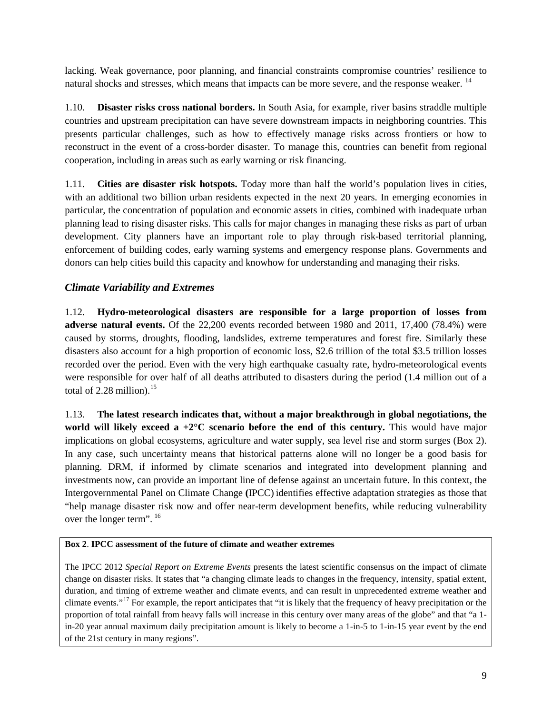lacking. Weak governance, poor planning, and financial constraints compromise countries' resilience to natural shocks and stresses, which means that impacts can be more severe, and the response weaker. <sup>[14](#page-36-8)</sup>

1.10. **Disaster risks cross national borders.** In South Asia, for example, river basins straddle multiple countries and upstream precipitation can have severe downstream impacts in neighboring countries. This presents particular challenges, such as how to effectively manage risks across frontiers or how to reconstruct in the event of a cross-border disaster. To manage this, countries can benefit from regional cooperation, including in areas such as early warning or risk financing.

1.11. **Cities are disaster risk hotspots.** Today more than half the world's population lives in cities, with an additional two billion urban residents expected in the next 20 years. In emerging economies in particular, the concentration of population and economic assets in cities, combined with inadequate urban planning lead to rising disaster risks. This calls for major changes in managing these risks as part of urban development. City planners have an important role to play through risk-based territorial planning, enforcement of building codes, early warning systems and emergency response plans. Governments and donors can help cities build this capacity and knowhow for understanding and managing their risks.

### *Climate Variability and Extremes*

1.12. **Hydro-meteorological disasters are responsible for a large proportion of losses from adverse natural events.** Of the 22,200 events recorded between 1980 and 2011, 17,400 (78.4%) were caused by storms, droughts, flooding, landslides, extreme temperatures and forest fire. Similarly these disasters also account for a high proportion of economic loss, \$2.6 trillion of the total \$3.5 trillion losses recorded over the period. Even with the very high earthquake casualty rate, hydro-meteorological events were responsible for over half of all deaths attributed to disasters during the period (1.4 million out of a total of 2.28 million). $^{15}$  $^{15}$  $^{15}$ 

1.13. **The latest research indicates that, without a major breakthrough in global negotiations, the world will likely exceed a +2°C scenario before the end of this century.** This would have major implications on global ecosystems, agriculture and water supply, sea level rise and storm surges (Box 2). In any case, such uncertainty means that historical patterns alone will no longer be a good basis for planning. DRM, if informed by climate scenarios and integrated into development planning and investments now, can provide an important line of defense against an uncertain future. In this context, the Intergovernmental Panel on Climate Change **(**IPCC) identifies effective adaptation strategies as those that "help manage disaster risk now and offer near-term development benefits, while reducing vulnerability over the longer term". <sup>[16](#page-36-10)</sup>

### **Box 2**. **IPCC assessment of the future of climate and weather extremes**

The IPCC 2012 *Special Report on Extreme Events* presents the latest scientific consensus on the impact of climate change on disaster risks. It states that "a changing climate leads to changes in the frequency, intensity, spatial extent, duration, and timing of extreme weather and climate events, and can result in unprecedented extreme weather and climate events."[17](#page-36-11) For example, the report anticipates that "it is likely that the frequency of heavy precipitation or the proportion of total rainfall from heavy falls will increase in this century over many areas of the globe" and that "a 1 in-20 year annual maximum daily precipitation amount is likely to become a 1-in-5 to 1-in-15 year event by the end of the 21st century in many regions".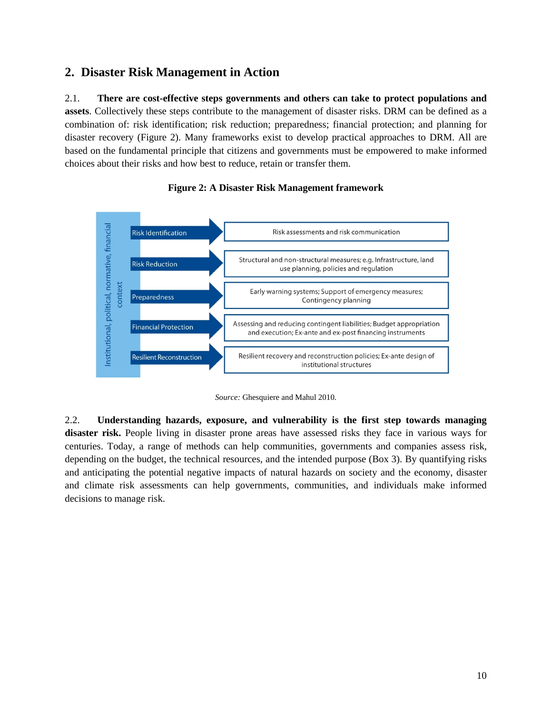# <span id="page-11-0"></span>**2. Disaster Risk Management in Action**

2.1. **There are cost-effective steps governments and others can take to protect populations and assets**. Collectively these steps contribute to the management of disaster risks. DRM can be defined as a combination of: risk identification; risk reduction; preparedness; financial protection; and planning for disaster recovery (Figure 2). Many frameworks exist to develop practical approaches to DRM. All are based on the fundamental principle that citizens and governments must be empowered to make informed choices about their risks and how best to reduce, retain or transfer them.



### **Figure 2: A Disaster Risk Management framework**



2.2. **Understanding hazards, exposure, and vulnerability is the first step towards managing disaster risk.** People living in disaster prone areas have assessed risks they face in various ways for centuries. Today, a range of methods can help communities, governments and companies assess risk, depending on the budget, the technical resources, and the intended purpose (Box 3). By quantifying risks and anticipating the potential negative impacts of natural hazards on society and the economy, disaster and climate risk assessments can help governments, communities, and individuals make informed decisions to manage risk.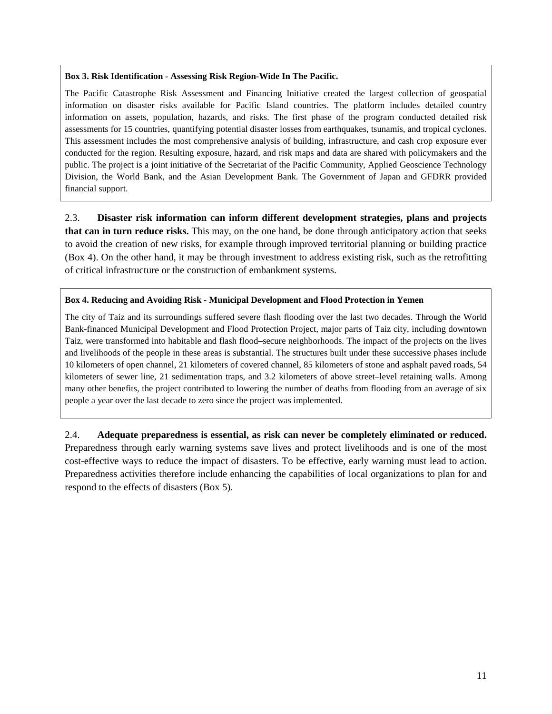#### **Box 3. Risk Identification - Assessing Risk Region-Wide In The Pacific.**

The Pacific Catastrophe Risk Assessment and Financing Initiative created the largest collection of geospatial information on disaster risks available for Pacific Island countries. The platform includes detailed country information on assets, population, hazards, and risks. The first phase of the program conducted detailed risk assessments for 15 countries, quantifying potential disaster losses from earthquakes, tsunamis, and tropical cyclones. This assessment includes the most comprehensive analysis of building, infrastructure, and cash crop exposure ever conducted for the region. Resulting exposure, hazard, and risk maps and data are shared with policymakers and the public. The project is a joint initiative of the Secretariat of the Pacific Community, Applied Geoscience Technology Division, the World Bank, and the Asian Development Bank. The Government of Japan and GFDRR provided financial support.

2.3. **Disaster risk information can inform different development strategies, plans and projects that can in turn reduce risks.** This may, on the one hand, be done through anticipatory action that seeks to avoid the creation of new risks, for example through improved territorial planning or building practice (Box 4). On the other hand, it may be through investment to address existing risk, such as the retrofitting of critical infrastructure or the construction of embankment systems.

### **Box 4. Reducing and Avoiding Risk - Municipal Development and Flood Protection in Yemen**

The city of Taiz and its surroundings suffered severe flash flooding over the last two decades. Through the World Bank-financed Municipal Development and Flood Protection Project, major parts of Taiz city, including downtown Taiz, were transformed into habitable and flash flood–secure neighborhoods. The impact of the projects on the lives and livelihoods of the people in these areas is substantial. The structures built under these successive phases include 10 kilometers of open channel, 21 kilometers of covered channel, 85 kilometers of stone and asphalt paved roads, 54 kilometers of sewer line, 21 sedimentation traps, and 3.2 kilometers of above street–level retaining walls. Among many other benefits, the project contributed to lowering the number of deaths from flooding from an average of six people a year over the last decade to zero since the project was implemented.

2.4. **Adequate preparedness is essential, as risk can never be completely eliminated or reduced.** Preparedness through early warning systems save lives and protect livelihoods and is one of the most cost-effective ways to reduce the impact of disasters. To be effective, early warning must lead to action. Preparedness activities therefore include enhancing the capabilities of local organizations to plan for and respond to the effects of disasters (Box 5).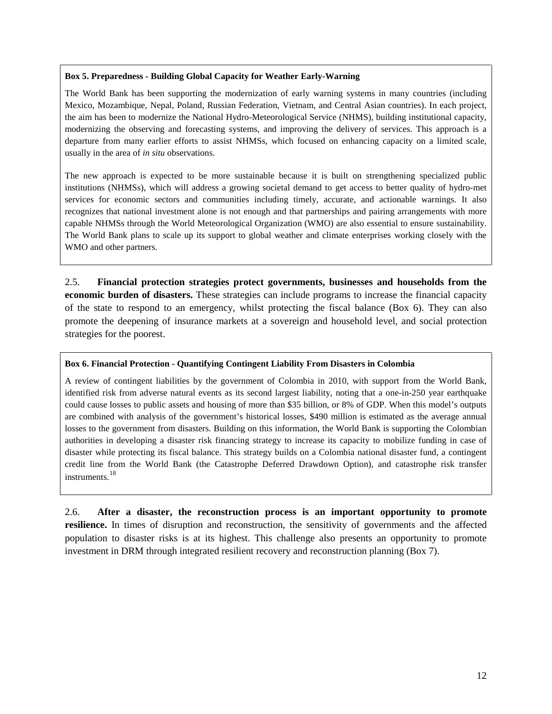#### **Box 5. Preparedness - Building Global Capacity for Weather Early-Warning**

The World Bank has been supporting the modernization of early warning systems in many countries (including Mexico, Mozambique, Nepal, Poland, Russian Federation, Vietnam, and Central Asian countries). In each project, the aim has been to modernize the National Hydro-Meteorological Service (NHMS), building institutional capacity, modernizing the observing and forecasting systems, and improving the delivery of services. This approach is a departure from many earlier efforts to assist NHMSs, which focused on enhancing capacity on a limited scale, usually in the area of *in situ* observations.

The new approach is expected to be more sustainable because it is built on strengthening specialized public institutions (NHMSs), which will address a growing societal demand to get access to better quality of hydro-met services for economic sectors and communities including timely, accurate, and actionable warnings. It also recognizes that national investment alone is not enough and that partnerships and pairing arrangements with more capable NHMSs through the World Meteorological Organization (WMO) are also essential to ensure sustainability. The World Bank plans to scale up its support to global weather and climate enterprises working closely with the WMO and other partners.

2.5. **Financial protection strategies protect governments, businesses and households from the economic burden of disasters.** These strategies can include programs to increase the financial capacity of the state to respond to an emergency, whilst protecting the fiscal balance (Box 6). They can also promote the deepening of insurance markets at a sovereign and household level, and social protection strategies for the poorest.

#### **Box 6. Financial Protection - Quantifying Contingent Liability From Disasters in Colombia**

A review of contingent liabilities by the government of Colombia in 2010, with support from the World Bank, identified risk from adverse natural events as its second largest liability, noting that a one-in-250 year earthquake could cause losses to public assets and housing of more than \$35 billion, or 8% of GDP. When this model's outputs are combined with analysis of the government's historical losses, \$490 million is estimated as the average annual losses to the government from disasters. Building on this information, the World Bank is supporting the Colombian authorities in developing a disaster risk financing strategy to increase its capacity to mobilize funding in case of disaster while protecting its fiscal balance. This strategy builds on a Colombia national disaster fund, a contingent credit line from the World Bank (the Catastrophe Deferred Drawdown Option), and catastrophe risk transfer instruments.[18](#page-36-12)

2.6. **After a disaster, the reconstruction process is an important opportunity to promote resilience.** In times of disruption and reconstruction, the sensitivity of governments and the affected population to disaster risks is at its highest. This challenge also presents an opportunity to promote investment in DRM through integrated resilient recovery and reconstruction planning (Box 7).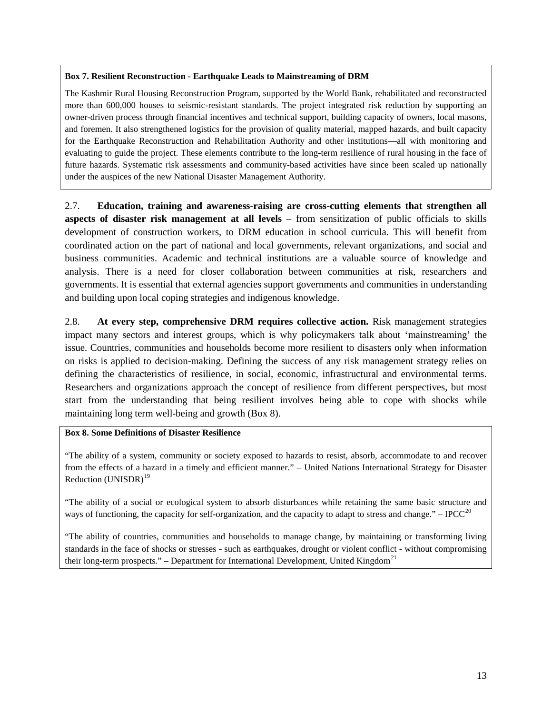#### **Box 7. Resilient Reconstruction - Earthquake Leads to Mainstreaming of DRM**

The Kashmir Rural Housing Reconstruction Program, supported by the World Bank, rehabilitated and reconstructed more than 600,000 houses to seismic-resistant standards. The project integrated risk reduction by supporting an owner-driven process through financial incentives and technical support, building capacity of owners, local masons, and foremen. It also strengthened logistics for the provision of quality material, mapped hazards, and built capacity for the Earthquake Reconstruction and Rehabilitation Authority and other institutions—all with monitoring and evaluating to guide the project. These elements contribute to the long-term resilience of rural housing in the face of future hazards. Systematic risk assessments and community-based activities have since been scaled up nationally under the auspices of the new National Disaster Management Authority.

2.7. **Education, training and awareness-raising are cross-cutting elements that strengthen all aspects of disaster risk management at all levels** – from sensitization of public officials to skills development of construction workers, to DRM education in school curricula. This will benefit from coordinated action on the part of national and local governments, relevant organizations, and social and business communities. Academic and technical institutions are a valuable source of knowledge and analysis. There is a need for closer collaboration between communities at risk, researchers and governments. It is essential that external agencies support governments and communities in understanding and building upon local coping strategies and indigenous knowledge.

2.8. **At every step, comprehensive DRM requires collective action.** Risk management strategies impact many sectors and interest groups, which is why policymakers talk about 'mainstreaming' the issue. Countries, communities and households become more resilient to disasters only when information on risks is applied to decision-making. Defining the success of any risk management strategy relies on defining the characteristics of resilience, in social, economic, infrastructural and environmental terms. Researchers and organizations approach the concept of resilience from different perspectives, but most start from the understanding that being resilient involves being able to cope with shocks while maintaining long term well-being and growth (Box 8).

### **Box 8. Some Definitions of Disaster Resilience**

"The ability of a system, community or society exposed to hazards to resist, absorb, accommodate to and recover from the effects of a hazard in a timely and efficient manner." – United Nations International Strategy for Disaster Reduction  $(UNISDR)^{19}$  $(UNISDR)^{19}$  $(UNISDR)^{19}$ 

"The ability of a social or ecological system to absorb disturbances while retaining the same basic structure and ways of functioning, the capacity for self-organization, and the capacity to adapt to stress and change." – IPCC<sup>[20](#page-36-14)</sup>

"The ability of countries, communities and households to manage change, by maintaining or transforming living standards in the face of shocks or stresses - such as earthquakes, drought or violent conflict - without compromising their long-term prospects." – Department for International Development, United Kingdom<sup>[21](#page-36-15)</sup>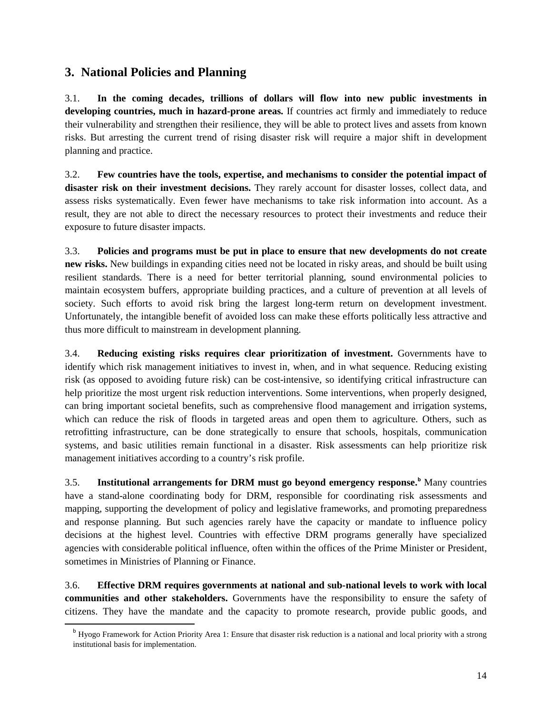# <span id="page-15-0"></span>**3. National Policies and Planning**

3.1. **In the coming decades, trillions of dollars will flow into new public investments in developing countries, much in hazard-prone areas.** If countries act firmly and immediately to reduce their vulnerability and strengthen their resilience, they will be able to protect lives and assets from known risks. But arresting the current trend of rising disaster risk will require a major shift in development planning and practice.

3.2. **Few countries have the tools, expertise, and mechanisms to consider the potential impact of disaster risk on their investment decisions.** They rarely account for disaster losses, collect data, and assess risks systematically. Even fewer have mechanisms to take risk information into account. As a result, they are not able to direct the necessary resources to protect their investments and reduce their exposure to future disaster impacts.

3.3. **Policies and programs must be put in place to ensure that new developments do not create new risks.** New buildings in expanding cities need not be located in risky areas, and should be built using resilient standards. There is a need for better territorial planning, sound environmental policies to maintain ecosystem buffers, appropriate building practices, and a culture of prevention at all levels of society. Such efforts to avoid risk bring the largest long-term return on development investment. Unfortunately, the intangible benefit of avoided loss can make these efforts politically less attractive and thus more difficult to mainstream in development planning.

3.4. **Reducing existing risks requires clear prioritization of investment.** Governments have to identify which risk management initiatives to invest in, when, and in what sequence. Reducing existing risk (as opposed to avoiding future risk) can be cost-intensive, so identifying critical infrastructure can help prioritize the most urgent risk reduction interventions. Some interventions, when properly designed, can bring important societal benefits, such as comprehensive flood management and irrigation systems, which can reduce the risk of floods in targeted areas and open them to agriculture. Others, such as retrofitting infrastructure, can be done strategically to ensure that schools, hospitals, communication systems, and basic utilities remain functional in a disaster. Risk assessments can help prioritize risk management initiatives according to a country's risk profile.

3.5. **Institutional arrangements for DRM must go beyond emergency response.[b](#page-15-1)** Many countries have a stand-alone coordinating body for DRM, responsible for coordinating risk assessments and mapping, supporting the development of policy and legislative frameworks, and promoting preparedness and response planning. But such agencies rarely have the capacity or mandate to influence policy decisions at the highest level. Countries with effective DRM programs generally have specialized agencies with considerable political influence, often within the offices of the Prime Minister or President, sometimes in Ministries of Planning or Finance.

3.6. **Effective DRM requires governments at national and sub-national levels to work with local communities and other stakeholders.** Governments have the responsibility to ensure the safety of citizens. They have the mandate and the capacity to promote research, provide public goods, and

<span id="page-15-1"></span><sup>&</sup>lt;sup>b</sup> Hyogo Framework for Action Priority Area 1: Ensure that disaster risk reduction is a national and local priority with a strong institutional basis for implementation.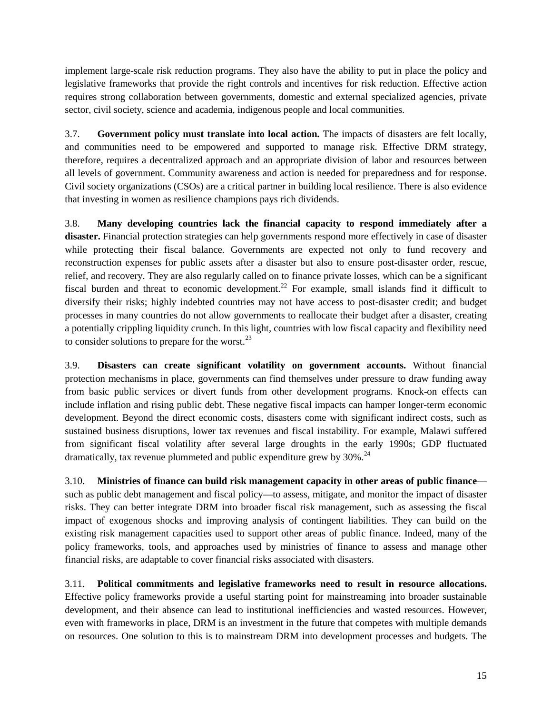implement large-scale risk reduction programs. They also have the ability to put in place the policy and legislative frameworks that provide the right controls and incentives for risk reduction. Effective action requires strong collaboration between governments, domestic and external specialized agencies, private sector, civil society, science and academia, indigenous people and local communities.

3.7. **Government policy must translate into local action.** The impacts of disasters are felt locally, and communities need to be empowered and supported to manage risk. Effective DRM strategy, therefore, requires a decentralized approach and an appropriate division of labor and resources between all levels of government. Community awareness and action is needed for preparedness and for response. Civil society organizations (CSOs) are a critical partner in building local resilience. There is also evidence that investing in women as resilience champions pays rich dividends.

3.8. **Many developing countries lack the financial capacity to respond immediately after a disaster.** Financial protection strategies can help governments respond more effectively in case of disaster while protecting their fiscal balance. Governments are expected not only to fund recovery and reconstruction expenses for public assets after a disaster but also to ensure post-disaster order, rescue, relief, and recovery. They are also regularly called on to finance private losses, which can be a significant fiscal burden and threat to economic development.<sup>[22](#page-36-16)</sup> For example, small islands find it difficult to diversify their risks; highly indebted countries may not have access to post-disaster credit; and budget processes in many countries do not allow governments to reallocate their budget after a disaster, creating a potentially crippling liquidity crunch. In this light, countries with low fiscal capacity and flexibility need to consider solutions to prepare for the worst. $^{23}$  $^{23}$  $^{23}$ 

3.9. **Disasters can create significant volatility on government accounts.** Without financial protection mechanisms in place, governments can find themselves under pressure to draw funding away from basic public services or divert funds from other development programs. Knock-on effects can include inflation and rising public debt. These negative fiscal impacts can hamper longer-term economic development. Beyond the direct economic costs, disasters come with significant indirect costs, such as sustained business disruptions, lower tax revenues and fiscal instability. For example, Malawi suffered from significant fiscal volatility after several large droughts in the early 1990s; GDP fluctuated dramatically, tax revenue plummeted and public expenditure grew by  $30\%$ .<sup>[24](#page-36-18)</sup>

3.10. **Ministries of finance can build risk management capacity in other areas of public finance** such as public debt management and fiscal policy—to assess, mitigate, and monitor the impact of disaster risks. They can better integrate DRM into broader fiscal risk management, such as assessing the fiscal impact of exogenous shocks and improving analysis of contingent liabilities. They can build on the existing risk management capacities used to support other areas of public finance. Indeed, many of the policy frameworks, tools, and approaches used by ministries of finance to assess and manage other financial risks, are adaptable to cover financial risks associated with disasters.

3.11. **Political commitments and legislative frameworks need to result in resource allocations.** Effective policy frameworks provide a useful starting point for mainstreaming into broader sustainable development, and their absence can lead to institutional inefficiencies and wasted resources. However, even with frameworks in place, DRM is an investment in the future that competes with multiple demands on resources. One solution to this is to mainstream DRM into development processes and budgets. The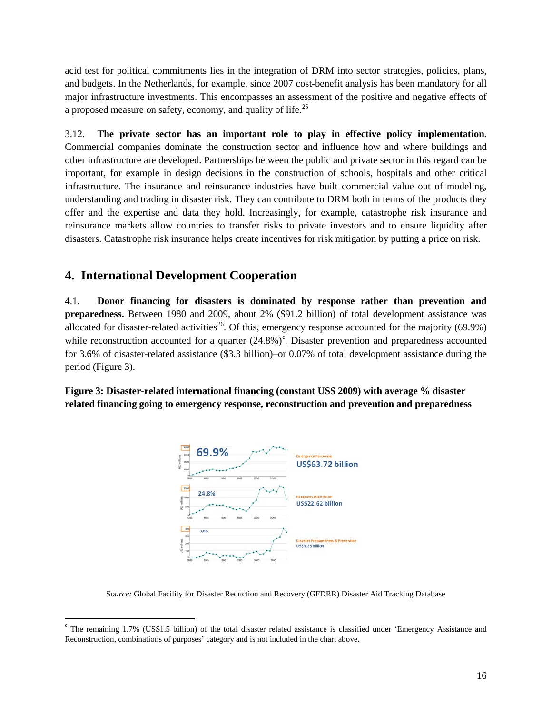acid test for political commitments lies in the integration of DRM into sector strategies, policies, plans, and budgets. In the Netherlands, for example, since 2007 cost-benefit analysis has been mandatory for all major infrastructure investments. This encompasses an assessment of the positive and negative effects of a proposed measure on safety, economy, and quality of life.<sup>[25](#page-36-19)</sup>

3.12. **The private sector has an important role to play in effective policy implementation.**  Commercial companies dominate the construction sector and influence how and where buildings and other infrastructure are developed. Partnerships between the public and private sector in this regard can be important, for example in design decisions in the construction of schools, hospitals and other critical infrastructure. The insurance and reinsurance industries have built commercial value out of modeling, understanding and trading in disaster risk. They can contribute to DRM both in terms of the products they offer and the expertise and data they hold. Increasingly, for example, catastrophe risk insurance and reinsurance markets allow countries to transfer risks to private investors and to ensure liquidity after disasters. Catastrophe risk insurance helps create incentives for risk mitigation by putting a price on risk.

# <span id="page-17-0"></span>**4. International Development Cooperation**

4.1. **Donor financing for disasters is dominated by response rather than prevention and preparedness.** Between 1980 and 2009, about 2% (\$91.2 billion) of total development assistance was allocated for disaster-related activities<sup>[26](#page-36-20)</sup>. Of this, emergency response accounted for the majority (69.9%) while re[c](#page-17-1)onstruction accounted for a quarter (24.8%)<sup>c</sup>. Disaster prevention and preparedness accounted for 3.6% of disaster-related assistance (\$3.3 billion)–or 0.07% of total development assistance during the period (Figure 3).

**Figure 3: Disaster-related international financing (constant US\$ 2009) with average % disaster related financing going to emergency response, reconstruction and prevention and preparedness**



S*ource:* Global Facility for Disaster Reduction and Recovery (GFDRR) Disaster Aid Tracking Database

<span id="page-17-1"></span> $c$  The remaining 1.7% (US\$1.5 billion) of the total disaster related assistance is classified under 'Emergency Assistance and Reconstruction, combinations of purposes' category and is not included in the chart above.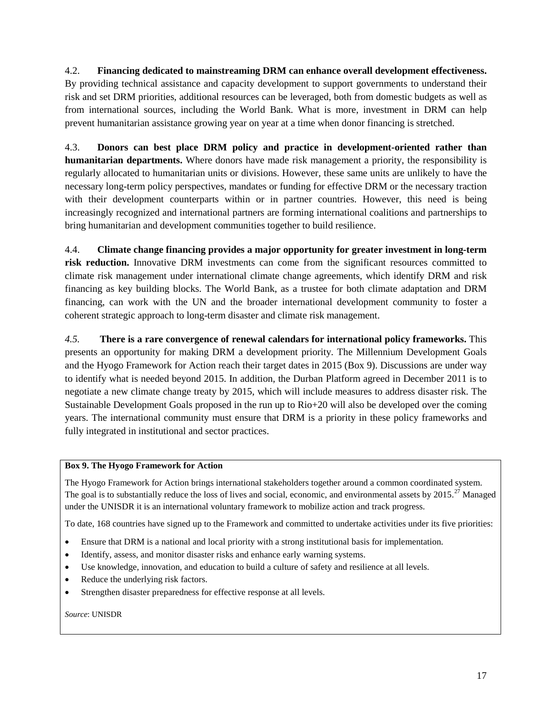4.2. **Financing dedicated to mainstreaming DRM can enhance overall development effectiveness.** By providing technical assistance and capacity development to support governments to understand their risk and set DRM priorities, additional resources can be leveraged, both from domestic budgets as well as from international sources, including the World Bank. What is more, investment in DRM can help prevent humanitarian assistance growing year on year at a time when donor financing is stretched.

4.3. **Donors can best place DRM policy and practice in development-oriented rather than humanitarian departments.** Where donors have made risk management a priority, the responsibility is regularly allocated to humanitarian units or divisions. However, these same units are unlikely to have the necessary long-term policy perspectives, mandates or funding for effective DRM or the necessary traction with their development counterparts within or in partner countries. However, this need is being increasingly recognized and international partners are forming international coalitions and partnerships to bring humanitarian and development communities together to build resilience.

4.4. **Climate change financing provides a major opportunity for greater investment in long-term**  risk reduction. Innovative DRM investments can come from the significant resources committed to climate risk management under international climate change agreements, which identify DRM and risk financing as key building blocks. The World Bank, as a trustee for both climate adaptation and DRM financing, can work with the UN and the broader international development community to foster a coherent strategic approach to long-term disaster and climate risk management.

*4.5.* **There is a rare convergence of renewal calendars for international policy frameworks.** This presents an opportunity for making DRM a development priority. The Millennium Development Goals and the Hyogo Framework for Action reach their target dates in 2015 (Box 9). Discussions are under way to identify what is needed beyond 2015. In addition, the Durban Platform agreed in December 2011 is to negotiate a new climate change treaty by 2015, which will include measures to address disaster risk. The Sustainable Development Goals proposed in the run up to Rio+20 will also be developed over the coming years. The international community must ensure that DRM is a priority in these policy frameworks and fully integrated in institutional and sector practices.

### **Box 9. The Hyogo Framework for Action**

The Hyogo Framework for Action brings international stakeholders together around a common coordinated system. The goal is to substantially reduce the loss of lives and social, economic, and environmental assets by  $2015$ <sup>[27](#page-36-21)</sup> Managed under the UNISDR it is an international voluntary framework to mobilize action and track progress.

To date, 168 countries have signed up to the Framework and committed to undertake activities under its five priorities:

- Ensure that DRM is a national and local priority with a strong institutional basis for implementation.
- Identify, assess, and monitor disaster risks and enhance early warning systems.
- Use knowledge, innovation, and education to build a culture of safety and resilience at all levels.
- Reduce the underlying risk factors.
- Strengthen disaster preparedness for effective response at all levels.

*Source*: UNISDR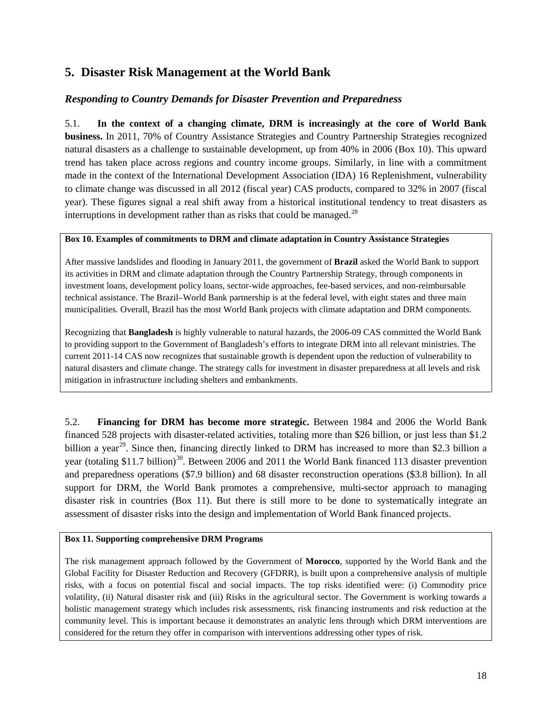# <span id="page-19-0"></span>**5. Disaster Risk Management at the World Bank**

### *Responding to Country Demands for Disaster Prevention and Preparedness*

5.1. **In the context of a changing climate, DRM is increasingly at the core of World Bank business.** In 2011, 70% of Country Assistance Strategies and Country Partnership Strategies recognized natural disasters as a challenge to sustainable development, up from 40% in 2006 (Box 10). This upward trend has taken place across regions and country income groups. Similarly, in line with a commitment made in the context of the International Development Association (IDA) 16 Replenishment, vulnerability to climate change was discussed in all 2012 (fiscal year) CAS products, compared to 32% in 2007 (fiscal year). These figures signal a real shift away from a historical institutional tendency to treat disasters as interruptions in development rather than as risks that could be managed.<sup>[28](#page-36-22)</sup>

#### **Box 10. Examples of commitments to DRM and climate adaptation in Country Assistance Strategies**

After massive landslides and flooding in January 2011, the government of **Brazil** asked the World Bank to support its activities in DRM and climate adaptation through the Country Partnership Strategy, through components in investment loans, development policy loans, sector-wide approaches, fee-based services, and non-reimbursable technical assistance. The Brazil–World Bank partnership is at the federal level, with eight states and three main municipalities. Overall, Brazil has the most World Bank projects with climate adaptation and DRM components.

Recognizing that **Bangladesh** is highly vulnerable to natural hazards, the 2006-09 CAS committed the World Bank to providing support to the Government of Bangladesh's efforts to integrate DRM into all relevant ministries. The current 2011-14 CAS now recognizes that sustainable growth is dependent upon the reduction of vulnerability to natural disasters and climate change. The strategy calls for investment in disaster preparedness at all levels and risk mitigation in infrastructure including shelters and embankments.

5.2. **Financing for DRM has become more strategic.** Between 1984 and 2006 the World Bank financed 528 projects with disaster-related activities, totaling more than \$26 billion, or just less than \$1.2 billion a year<sup>29</sup>. Since then, financing directly linked to DRM has increased to more than \$2.3 billion a year (totaling \$11.7 billion)<sup>30</sup>. Between 2006 and 2011 the World Bank financed 113 disaster prevention and preparedness operations (\$7.9 billion) and 68 disaster reconstruction operations (\$3.8 billion). In all support for DRM, the World Bank promotes a comprehensive, multi-sector approach to managing disaster risk in countries (Box 11). But there is still more to be done to systematically integrate an assessment of disaster risks into the design and implementation of World Bank financed projects.

#### **Box 11. Supporting comprehensive DRM Programs**

The risk management approach followed by the Government of **Morocco**, supported by the World Bank and the Global Facility for Disaster Reduction and Recovery (GFDRR), is built upon a comprehensive analysis of multiple risks, with a focus on potential fiscal and social impacts. The top risks identified were: (i) Commodity price volatility, (ii) Natural disaster risk and (iii) Risks in the agricultural sector. The Government is working towards a holistic management strategy which includes risk assessments, risk financing instruments and risk reduction at the community level. This is important because it demonstrates an analytic lens through which DRM interventions are considered for the return they offer in comparison with interventions addressing other types of risk.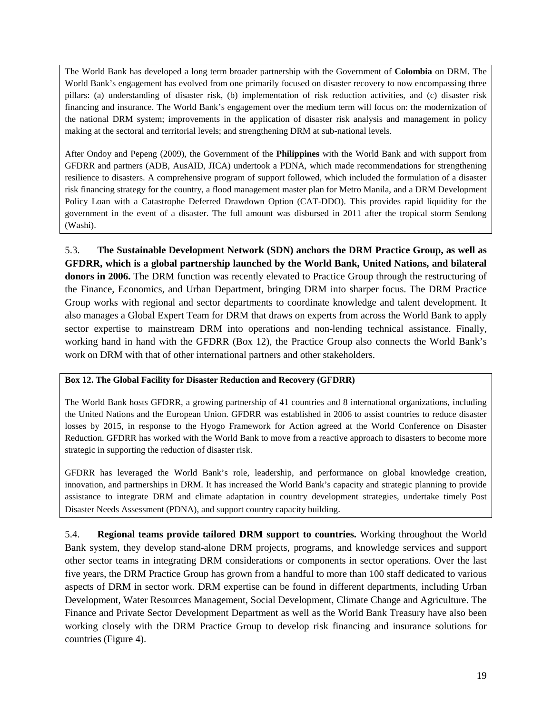The World Bank has developed a long term broader partnership with the Government of **Colombia** on DRM. The World Bank's engagement has evolved from one primarily focused on disaster recovery to now encompassing three pillars: (a) understanding of disaster risk, (b) implementation of risk reduction activities, and (c) disaster risk financing and insurance. The World Bank's engagement over the medium term will focus on: the modernization of the national DRM system; improvements in the application of disaster risk analysis and management in policy making at the sectoral and territorial levels; and strengthening DRM at sub-national levels.

After Ondoy and Pepeng (2009), the Government of the **Philippines** with the World Bank and with support from GFDRR and partners (ADB, AusAID, JICA) undertook a PDNA, which made recommendations for strengthening resilience to disasters. A comprehensive program of support followed, which included the formulation of a disaster risk financing strategy for the country, a flood management master plan for Metro Manila, and a DRM Development Policy Loan with a Catastrophe Deferred Drawdown Option (CAT-DDO). This provides rapid liquidity for the government in the event of a disaster. The full amount was disbursed in 2011 after the tropical storm Sendong (Washi).

5.3. **The Sustainable Development Network (SDN) anchors the DRM Practice Group, as well as GFDRR, which is a global partnership launched by the World Bank, United Nations, and bilateral donors in 2006.** The DRM function was recently elevated to Practice Group through the restructuring of the Finance, Economics, and Urban Department, bringing DRM into sharper focus. The DRM Practice Group works with regional and sector departments to coordinate knowledge and talent development. It also manages a Global Expert Team for DRM that draws on experts from across the World Bank to apply sector expertise to mainstream DRM into operations and non-lending technical assistance. Finally, working hand in hand with the GFDRR (Box 12), the Practice Group also connects the World Bank's work on DRM with that of other international partners and other stakeholders.

### **Box 12. The Global Facility for Disaster Reduction and Recovery (GFDRR)**

The World Bank hosts GFDRR, a growing partnership of 41 countries and 8 international organizations, including the United Nations and the European Union. GFDRR was established in 2006 to assist countries to reduce disaster losses by 2015, in response to the Hyogo Framework for Action agreed at the World Conference on Disaster Reduction. GFDRR has worked with the World Bank to move from a reactive approach to disasters to become more strategic in supporting the reduction of disaster risk.

GFDRR has leveraged the World Bank's role, leadership, and performance on global knowledge creation, innovation, and partnerships in DRM. It has increased the World Bank's capacity and strategic planning to provide assistance to integrate DRM and climate adaptation in country development strategies, undertake timely Post Disaster Needs Assessment (PDNA), and support country capacity building.

5.4. **Regional teams provide tailored DRM support to countries.** Working throughout the World Bank system, they develop stand-alone DRM projects, programs, and knowledge services and support other sector teams in integrating DRM considerations or components in sector operations. Over the last five years, the DRM Practice Group has grown from a handful to more than 100 staff dedicated to various aspects of DRM in sector work. DRM expertise can be found in different departments, including Urban Development, Water Resources Management, Social Development, Climate Change and Agriculture. The Finance and Private Sector Development Department as well as the World Bank Treasury have also been working closely with the DRM Practice Group to develop risk financing and insurance solutions for countries (Figure 4).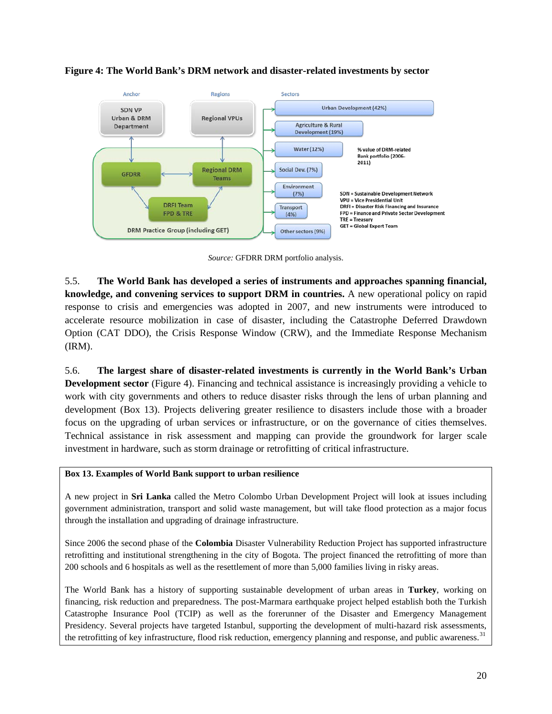

### **Figure 4: The World Bank's DRM network and disaster-related investments by sector**

*Source:* GFDRR DRM portfolio analysis.

5.5. **The World Bank has developed a series of instruments and approaches spanning financial, knowledge, and convening services to support DRM in countries.** A new operational policy on rapid response to crisis and emergencies was adopted in 2007, and new instruments were introduced to accelerate resource mobilization in case of disaster, including the Catastrophe Deferred Drawdown Option (CAT DDO), the Crisis Response Window (CRW), and the Immediate Response Mechanism (IRM).

5.6. **The largest share of disaster-related investments is currently in the World Bank's Urban Development sector** (Figure 4). Financing and technical assistance is increasingly providing a vehicle to work with city governments and others to reduce disaster risks through the lens of urban planning and development (Box 13). Projects delivering greater resilience to disasters include those with a broader focus on the upgrading of urban services or infrastructure, or on the governance of cities themselves. Technical assistance in risk assessment and mapping can provide the groundwork for larger scale investment in hardware, such as storm drainage or retrofitting of critical infrastructure.

### **Box 13. Examples of World Bank support to urban resilience**

A new project in **Sri Lanka** called the Metro Colombo Urban Development Project will look at issues including government administration, transport and solid waste management, but will take flood protection as a major focus through the installation and upgrading of drainage infrastructure.

Since 2006 the second phase of the **Colombia** Disaster Vulnerability Reduction Project has supported infrastructure retrofitting and institutional strengthening in the city of Bogota. The project financed the retrofitting of more than 200 schools and 6 hospitals as well as the resettlement of more than 5,000 families living in risky areas.

The World Bank has a history of supporting sustainable development of urban areas in **Turkey**, working on financing, risk reduction and preparedness. The post-Marmara earthquake project helped establish both the Turkish Catastrophe Insurance Pool (TCIP) as well as the forerunner of the Disaster and Emergency Management Presidency. Several projects have targeted Istanbul, supporting the development of multi-hazard risk assessments, the retrofitting of key infrastructure, flood risk reduction, emergency planning and response, and public awareness.<sup>[31](#page-36-25)</sup>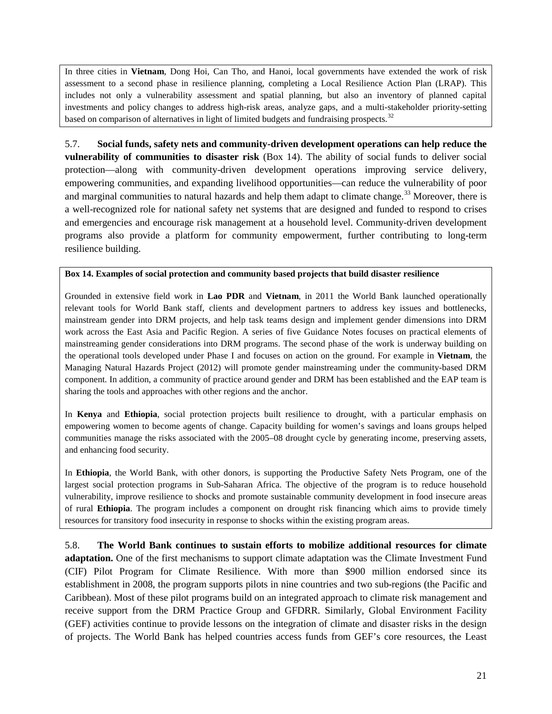In three cities in **Vietnam**, Dong Hoi, Can Tho, and Hanoi, local governments have extended the work of risk assessment to a second phase in resilience planning, completing a Local Resilience Action Plan (LRAP). This includes not only a vulnerability assessment and spatial planning, but also an inventory of planned capital investments and policy changes to address high-risk areas, analyze gaps, and a multi-stakeholder priority-setting based on comparison of alternatives in light of limited budgets and fundraising prospects. $32$ 

5.7. **Social funds, safety nets and community-driven development operations can help reduce the vulnerability of communities to disaster risk** (Box 14). The ability of social funds to deliver social protection—along with community-driven development operations improving service delivery, empowering communities, and expanding livelihood opportunities—can reduce the vulnerability of poor and marginal communities to natural hazards and help them adapt to climate change.<sup>[33](#page-36-27)</sup> Moreover, there is a well-recognized role for national safety net systems that are designed and funded to respond to crises and emergencies and encourage risk management at a household level. Community-driven development programs also provide a platform for community empowerment, further contributing to long-term resilience building.

#### **Box 14. Examples of social protection and community based projects that build disaster resilience**

Grounded in extensive field work in **Lao PDR** and **Vietnam**, in 2011 the World Bank launched operationally relevant tools for World Bank staff, clients and development partners to address key issues and bottlenecks, mainstream gender into DRM projects, and help task teams design and implement gender dimensions into DRM work across the East Asia and Pacific Region. A series of five Guidance Notes focuses on practical elements of mainstreaming gender considerations into DRM programs. The second phase of the work is underway building on the operational tools developed under Phase I and focuses on action on the ground. For example in **Vietnam**, the Managing Natural Hazards Project (2012) will promote gender mainstreaming under the community-based DRM component. In addition, a community of practice around gender and DRM has been established and the EAP team is sharing the tools and approaches with other regions and the anchor.

In **Kenya** and **Ethiopia**, social protection projects built resilience to drought, with a particular emphasis on empowering women to become agents of change. Capacity building for women's savings and loans groups helped communities manage the risks associated with the 2005–08 drought cycle by generating income, preserving assets, and enhancing food security.

In **Ethiopia**, the World Bank, with other donors, is supporting the Productive Safety Nets Program, one of the largest social protection programs in Sub-Saharan Africa. The objective of the program is to reduce household vulnerability, improve resilience to shocks and promote sustainable community development in food insecure areas of rural **Ethiopia**. The program includes a component on drought risk financing which aims to provide timely resources for transitory food insecurity in response to shocks within the existing program areas.

5.8. **The World Bank continues to sustain efforts to mobilize additional resources for climate adaptation.** One of the first mechanisms to support climate adaptation was the Climate Investment Fund (CIF) Pilot Program for Climate Resilience. With more than \$900 million endorsed since its establishment in 2008, the program supports pilots in nine countries and two sub-regions (the Pacific and Caribbean). Most of these pilot programs build on an integrated approach to climate risk management and receive support from the DRM Practice Group and GFDRR. Similarly, Global Environment Facility (GEF) activities continue to provide lessons on the integration of climate and disaster risks in the design of projects. The World Bank has helped countries access funds from GEF's core resources, the Least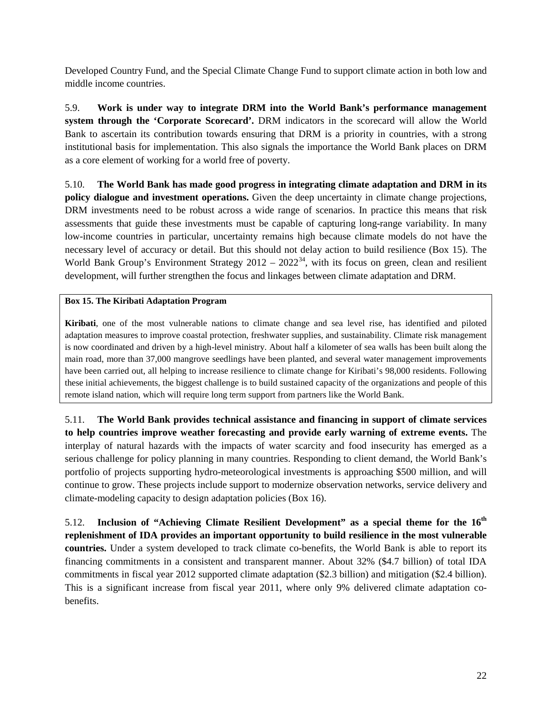Developed Country Fund, and the Special Climate Change Fund to support climate action in both low and middle income countries.

5.9. **Work is under way to integrate DRM into the World Bank's performance management system through the 'Corporate Scorecard'.** DRM indicators in the scorecard will allow the World Bank to ascertain its contribution towards ensuring that DRM is a priority in countries, with a strong institutional basis for implementation. This also signals the importance the World Bank places on DRM as a core element of working for a world free of poverty.

5.10. **The World Bank has made good progress in integrating climate adaptation and DRM in its policy dialogue and investment operations.** Given the deep uncertainty in climate change projections, DRM investments need to be robust across a wide range of scenarios. In practice this means that risk assessments that guide these investments must be capable of capturing long-range variability. In many low-income countries in particular, uncertainty remains high because climate models do not have the necessary level of accuracy or detail. But this should not delay action to build resilience (Box 15). The World Bank Group's Environment Strategy  $2012 - 2022^{34}$ , with its focus on green, clean and resilient development, will further strengthen the focus and linkages between climate adaptation and DRM.

### **Box 15. The Kiribati Adaptation Program**

**Kiribati**, one of the most vulnerable nations to climate change and sea level rise, has identified and piloted adaptation measures to improve coastal protection, freshwater supplies, and sustainability. Climate risk management is now coordinated and driven by a high-level ministry. About half a kilometer of sea walls has been built along the main road, more than 37,000 mangrove seedlings have been planted, and several water management improvements have been carried out, all helping to increase resilience to climate change for Kiribati's 98,000 residents. Following these initial achievements, the biggest challenge is to build sustained capacity of the organizations and people of this remote island nation, which will require long term support from partners like the World Bank.

5.11. **The World Bank provides technical assistance and financing in support of climate services to help countries improve weather forecasting and provide early warning of extreme events.** The interplay of natural hazards with the impacts of water scarcity and food insecurity has emerged as a serious challenge for policy planning in many countries. Responding to client demand, the World Bank's portfolio of projects supporting hydro-meteorological investments is approaching \$500 million, and will continue to grow. These projects include support to modernize observation networks, service delivery and climate-modeling capacity to design adaptation policies (Box 16).

5.12. **Inclusion of "Achieving Climate Resilient Development" as a special theme for the 16th replenishment of IDA provides an important opportunity to build resilience in the most vulnerable countries.** Under a system developed to track climate co-benefits, the World Bank is able to report its financing commitments in a consistent and transparent manner. About 32% (\$4.7 billion) of total IDA commitments in fiscal year 2012 supported climate adaptation (\$2.3 billion) and mitigation (\$2.4 billion). This is a significant increase from fiscal year 2011, where only 9% delivered climate adaptation cobenefits.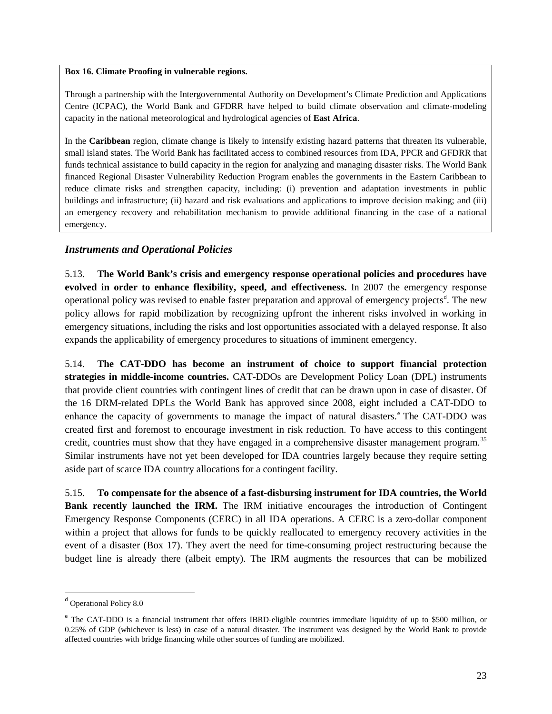#### **Box 16. Climate Proofing in vulnerable regions.**

Through a partnership with the Intergovernmental Authority on Development's Climate Prediction and Applications Centre (ICPAC), the World Bank and GFDRR have helped to build climate observation and climate-modeling capacity in the national meteorological and hydrological agencies of **East Africa**.

In the **Caribbean** region, climate change is likely to intensify existing hazard patterns that threaten its vulnerable, small island states. The World Bank has facilitated access to combined resources from IDA, PPCR and GFDRR that funds technical assistance to build capacity in the region for analyzing and managing disaster risks. The World Bank financed Regional Disaster Vulnerability Reduction Program enables the governments in the Eastern Caribbean to reduce climate risks and strengthen capacity, including: (i) prevention and adaptation investments in public buildings and infrastructure; (ii) hazard and risk evaluations and applications to improve decision making; and (iii) an emergency recovery and rehabilitation mechanism to provide additional financing in the case of a national emergency.

### *Instruments and Operational Policies*

5.13. **The World Bank's crisis and emergency response operational policies and procedures have evolved in order to enhance flexibility, speed, and effectiveness.** In 2007 the emergency response operational policy was revise[d](#page-24-0) to enable faster preparation and approval of emergency projects<sup>d</sup>. The new policy allows for rapid mobilization by recognizing upfront the inherent risks involved in working in emergency situations, including the risks and lost opportunities associated with a delayed response. It also expands the applicability of emergency procedures to situations of imminent emergency.

5.14. **The CAT-DDO has become an instrument of choice to support financial protection strategies in middle-income countries.** CAT-DDOs are Development Policy Loan (DPL) instruments that provide client countries with contingent lines of credit that can be drawn upon in case of disaster. Of the 16 DRM-related DPLs the World Bank has approved since 2008, eight included a CAT-DDO to [e](#page-24-1)nhance the capacity of governments to manage the impact of natural disasters.<sup>e</sup> The CAT-DDO was created first and foremost to encourage investment in risk reduction. To have access to this contingent credit, countries must show that they have engaged in a comprehensive disaster management program.<sup>[35](#page-36-29)</sup> Similar instruments have not yet been developed for IDA countries largely because they require setting aside part of scarce IDA country allocations for a contingent facility.

5.15. **To compensate for the absence of a fast-disbursing instrument for IDA countries, the World**  Bank recently launched the IRM. The IRM initiative encourages the introduction of Contingent Emergency Response Components (CERC) in all IDA operations. A CERC is a zero-dollar component within a project that allows for funds to be quickly reallocated to emergency recovery activities in the event of a disaster (Box 17). They avert the need for time-consuming project restructuring because the budget line is already there (albeit empty). The IRM augments the resources that can be mobilized

<span id="page-24-0"></span><sup>d</sup> Operational Policy 8.0

<span id="page-24-1"></span><sup>&</sup>lt;sup>e</sup> The CAT-DDO is a financial instrument that offers IBRD-eligible countries immediate liquidity of up to \$500 million, or 0.25% of GDP (whichever is less) in case of a natural disaster. The instrument was designed by the World Bank to provide affected countries with bridge financing while other sources of funding are mobilized.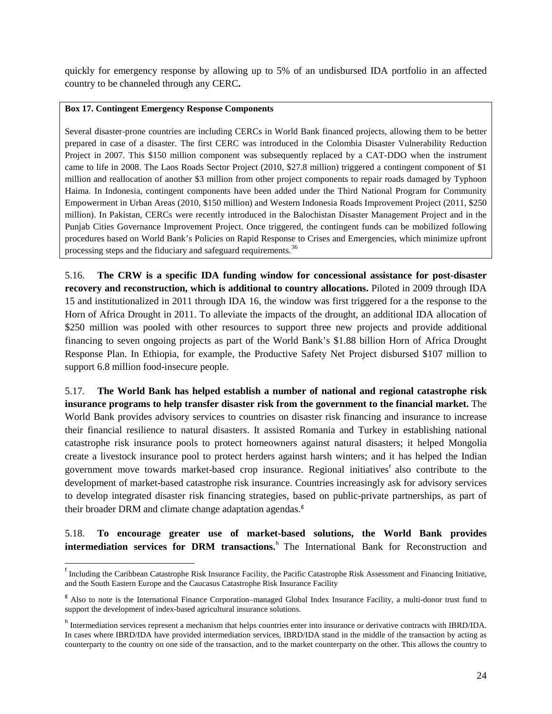quickly for emergency response by allowing up to 5% of an undisbursed IDA portfolio in an affected country to be channeled through any CERC**.**

### **Box 17. Contingent Emergency Response Components**

Several disaster-prone countries are including CERCs in World Bank financed projects, allowing them to be better prepared in case of a disaster. The first CERC was introduced in the Colombia Disaster Vulnerability Reduction Project in 2007. This \$150 million component was subsequently replaced by a CAT-DDO when the instrument came to life in 2008. The Laos Roads Sector Project (2010, \$27.8 million) triggered a contingent component of \$1 million and reallocation of another \$3 million from other project components to repair roads damaged by Typhoon Haima. In Indonesia, contingent components have been added under the Third National Program for Community Empowerment in Urban Areas (2010, \$150 million) and Western Indonesia Roads Improvement Project (2011, \$250 million). In Pakistan, CERCs were recently introduced in the Balochistan Disaster Management Project and in the Punjab Cities Governance Improvement Project. Once triggered, the contingent funds can be mobilized following procedures based on World Bank's Policies on Rapid Response to Crises and Emergencies, which minimize upfront processing steps and the fiduciary and safeguard requirements.<sup>[36](#page-36-30)</sup>

5.16. **The CRW is a specific IDA funding window for concessional assistance for post-disaster recovery and reconstruction, which is additional to country allocations.** Piloted in 2009 through IDA 15 and institutionalized in 2011 through IDA 16, the window was first triggered for a the response to the Horn of Africa Drought in 2011. To alleviate the impacts of the drought, an additional IDA allocation of \$250 million was pooled with other resources to support three new projects and provide additional financing to seven ongoing projects as part of the World Bank's \$1.88 billion Horn of Africa Drought Response Plan. In Ethiopia, for example, the Productive Safety Net Project disbursed \$107 million to support 6.8 million food-insecure people.

5.17. **The World Bank has helped establish a number of national and regional catastrophe risk insurance programs to help transfer disaster risk from the government to the financial market.** The World Bank provides advisory services to countries on disaster risk financing and insurance to increase their financial resilience to natural disasters. It assisted Romania and Turkey in establishing national catastrophe risk insurance pools to protect homeowners against natural disasters; it helped Mongolia create a livestock insurance pool to protect herders against harsh winters; and it has helped the Indian government move towards market-based crop insurance. Regional initiatives<sup>[f](#page-25-0)</sup> also contribute to the development of market-based catastrophe risk insurance. Countries increasingly ask for advisory services to develop integrated disaster risk financing strategies, based on public-private partnerships, as part of their broader DRM and climate chan[g](#page-25-1)e adaptation agendas.<sup>8</sup>

5.18. **To encourage greater use of market-based solutions, the World Bank provides intermediation services for DRM transactions.**<sup>[h](#page-25-2)</sup> The International Bank for Reconstruction and

<span id="page-25-0"></span><sup>–&</sup>lt;br>f <sup>†</sup> Including the Caribbean Catastrophe Risk Insurance Facility, the Pacific Catastrophe Risk Assessment and Financing Initiative, and the South Eastern Europe and the Caucasus Catastrophe Risk Insurance Facility

<span id="page-25-1"></span><sup>&</sup>lt;sup>g</sup> Also to note is the International Finance Corporation–managed Global Index Insurance Facility, a multi-donor trust fund to support the development of index-based agricultural insurance solutions.

<span id="page-25-2"></span>h Intermediation services represent a mechanism that helps countries enter into insurance or derivative contracts with IBRD/IDA. In cases where IBRD/IDA have provided intermediation services, IBRD/IDA stand in the middle of the transaction by acting as counterparty to the country on one side of the transaction, and to the market counterparty on the other. This allows the country to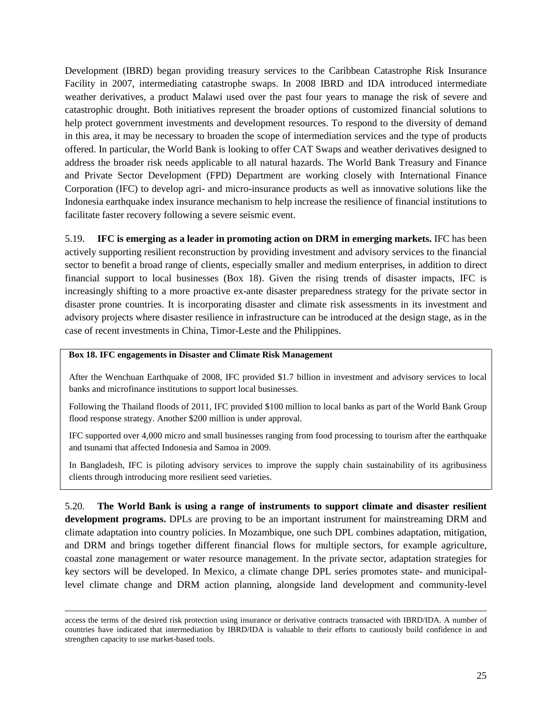Development (IBRD) began providing treasury services to the Caribbean Catastrophe Risk Insurance Facility in 2007, intermediating catastrophe swaps. In 2008 IBRD and IDA introduced intermediate weather derivatives, a product Malawi used over the past four years to manage the risk of severe and catastrophic drought. Both initiatives represent the broader options of customized financial solutions to help protect government investments and development resources. To respond to the diversity of demand in this area, it may be necessary to broaden the scope of intermediation services and the type of products offered. In particular, the World Bank is looking to offer CAT Swaps and weather derivatives designed to address the broader risk needs applicable to all natural hazards. The World Bank Treasury and Finance and Private Sector Development (FPD) Department are working closely with International Finance Corporation (IFC) to develop agri- and micro-insurance products as well as innovative solutions like the Indonesia earthquake index insurance mechanism to help increase the resilience of financial institutions to facilitate faster recovery following a severe seismic event.

5.19. **IFC is emerging as a leader in promoting action on DRM in emerging markets.** IFC has been actively supporting resilient reconstruction by providing investment and advisory services to the financial sector to benefit a broad range of clients, especially smaller and medium enterprises, in addition to direct financial support to local businesses (Box 18). Given the rising trends of disaster impacts, IFC is increasingly shifting to a more proactive ex-ante disaster preparedness strategy for the private sector in disaster prone countries. It is incorporating disaster and climate risk assessments in its investment and advisory projects where disaster resilience in infrastructure can be introduced at the design stage, as in the case of recent investments in China, Timor-Leste and the Philippines.

#### **Box 18. IFC engagements in Disaster and Climate Risk Management**

After the Wenchuan Earthquake of 2008, IFC provided \$1.7 billion in investment and advisory services to local banks and microfinance institutions to support local businesses.

Following the Thailand floods of 2011, IFC provided \$100 million to local banks as part of the World Bank Group flood response strategy. Another \$200 million is under approval.

IFC supported over 4,000 micro and small businesses ranging from food processing to tourism after the earthquake and tsunami that affected Indonesia and Samoa in 2009.

In Bangladesh, IFC is piloting advisory services to improve the supply chain sustainability of its agribusiness clients through introducing more resilient seed varieties.

5.20. **The World Bank is using a range of instruments to support climate and disaster resilient development programs.** DPLs are proving to be an important instrument for mainstreaming DRM and climate adaptation into country policies. In Mozambique, one such DPL combines adaptation, mitigation, and DRM and brings together different financial flows for multiple sectors, for example agriculture, coastal zone management or water resource management. In the private sector, adaptation strategies for key sectors will be developed. In Mexico, a climate change DPL series promotes state- and municipallevel climate change and DRM action planning, alongside land development and community-level

access the terms of the desired risk protection using insurance or derivative contracts transacted with IBRD/IDA. A number of countries have indicated that intermediation by IBRD/IDA is valuable to their efforts to cautiously build confidence in and strengthen capacity to use market-based tools.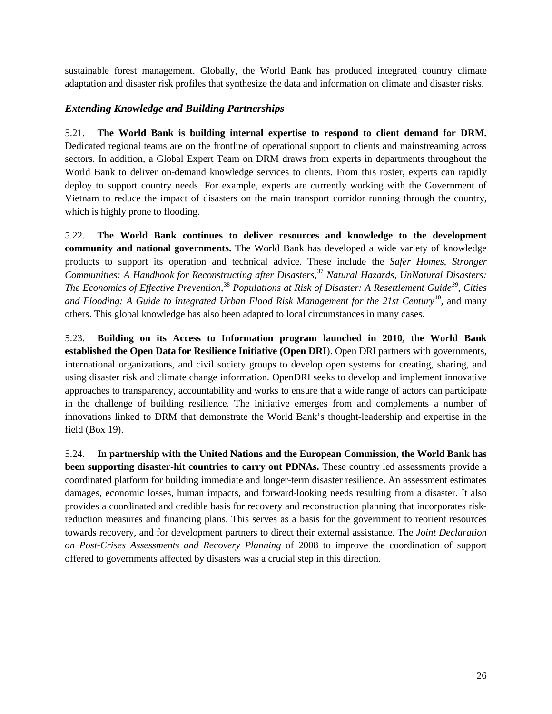sustainable forest management. Globally, the World Bank has produced integrated country climate adaptation and disaster risk profiles that synthesize the data and information on climate and disaster risks.

### *Extending Knowledge and Building Partnerships*

5.21. **The World Bank is building internal expertise to respond to client demand for DRM.**  Dedicated regional teams are on the frontline of operational support to clients and mainstreaming across sectors. In addition, a Global Expert Team on DRM draws from experts in departments throughout the World Bank to deliver on-demand knowledge services to clients. From this roster, experts can rapidly deploy to support country needs. For example, experts are currently working with the Government of Vietnam to reduce the impact of disasters on the main transport corridor running through the country, which is highly prone to flooding.

5.22. **The World Bank continues to deliver resources and knowledge to the development community and national governments.** The World Bank has developed a wide variety of knowledge products to support its operation and technical advice. These include the *Safer Homes, Stronger Communities: A Handbook for Reconstructing after Disasters*, [37](#page-36-31) *Natural Hazards, UnNatural Disasters: The Economics of Effective Prevention*, [38](#page-36-32) *Populations at Risk of Disaster: A Resettlement Guide[39](#page-36-33)*, *Cities*  and Flooding: A Guide to Integrated Urban Flood Risk Management for the 21st Century<sup>[40](#page-36-34)</sup>, and many others. This global knowledge has also been adapted to local circumstances in many cases.

5.23. **Building on its Access to Information program launched in 2010, the World Bank established the Open Data for Resilience Initiative (Open DRI**). Open DRI partners with governments, international organizations, and civil society groups to develop open systems for creating, sharing, and using disaster risk and climate change information. OpenDRI seeks to develop and implement innovative approaches to transparency, accountability and works to ensure that a wide range of actors can participate in the challenge of building resilience. The initiative emerges from and complements a number of innovations linked to DRM that demonstrate the World Bank's thought-leadership and expertise in the field (Box 19).

5.24. **In partnership with the United Nations and the European Commission, the World Bank has been supporting disaster-hit countries to carry out PDNAs.** These country led assessments provide a coordinated platform for building immediate and longer-term disaster resilience. An assessment estimates damages, economic losses, human impacts, and forward-looking needs resulting from a disaster. It also provides a coordinated and credible basis for recovery and reconstruction planning that incorporates riskreduction measures and financing plans. This serves as a basis for the government to reorient resources towards recovery, and for development partners to direct their external assistance. The *Joint Declaration on Post-Crises Assessments and Recovery Planning* of 2008 to improve the coordination of support offered to governments affected by disasters was a crucial step in this direction.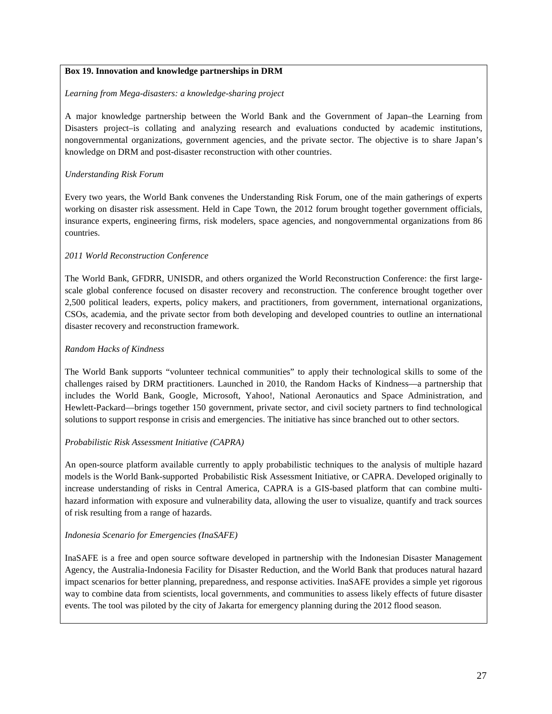#### **Box 19. Innovation and knowledge partnerships in DRM**

#### *Learning from Mega-disasters: a knowledge-sharing project*

A major knowledge partnership between the World Bank and the Government of Japan–the Learning from Disasters project–is collating and analyzing research and evaluations conducted by academic institutions, nongovernmental organizations, government agencies, and the private sector. The objective is to share Japan's knowledge on DRM and post-disaster reconstruction with other countries.

#### *Understanding Risk Forum*

Every two years, the World Bank convenes the Understanding Risk Forum, one of the main gatherings of experts working on disaster risk assessment. Held in Cape Town, the 2012 forum brought together government officials, insurance experts, engineering firms, risk modelers, space agencies, and nongovernmental organizations from 86 countries.

#### *2011 World Reconstruction Conference*

The World Bank, GFDRR, UNISDR, and others organized the World Reconstruction Conference: the first largescale global conference focused on disaster recovery and reconstruction. The conference brought together over 2,500 political leaders, experts, policy makers, and practitioners, from government, international organizations, CSOs, academia, and the private sector from both developing and developed countries to outline an international disaster recovery and reconstruction framework.

#### *Random Hacks of Kindness*

The World Bank supports "volunteer technical communities" to apply their technological skills to some of the challenges raised by DRM practitioners. Launched in 2010, the Random Hacks of Kindness—a partnership that includes the World Bank, Google, Microsoft, Yahoo!, National Aeronautics and Space Administration, and Hewlett-Packard—brings together 150 government, private sector, and civil society partners to find technological solutions to support response in crisis and emergencies. The initiative has since branched out to other sectors.

### *Probabilistic Risk Assessment Initiative (CAPRA)*

An open-source platform available currently to apply probabilistic techniques to the analysis of multiple hazard models is the World Bank-supported Probabilistic Risk Assessment Initiative, or CAPRA. Developed originally to increase understanding of risks in Central America, CAPRA is a GIS-based platform that can combine multihazard information with exposure and vulnerability data, allowing the user to visualize, quantify and track sources of risk resulting from a range of hazards.

#### *Indonesia Scenario for Emergencies (InaSAFE)*

InaSAFE is a free and open source software developed in partnership with the Indonesian Disaster Management Agency, the Australia-Indonesia Facility for Disaster Reduction, and the World Bank that produces natural hazard impact scenarios for better planning, preparedness, and response activities. InaSAFE provides a simple yet rigorous way to combine data from scientists, local governments, and communities to assess likely effects of future disaster events. The tool was piloted by the city of Jakarta for emergency planning during the 2012 flood season.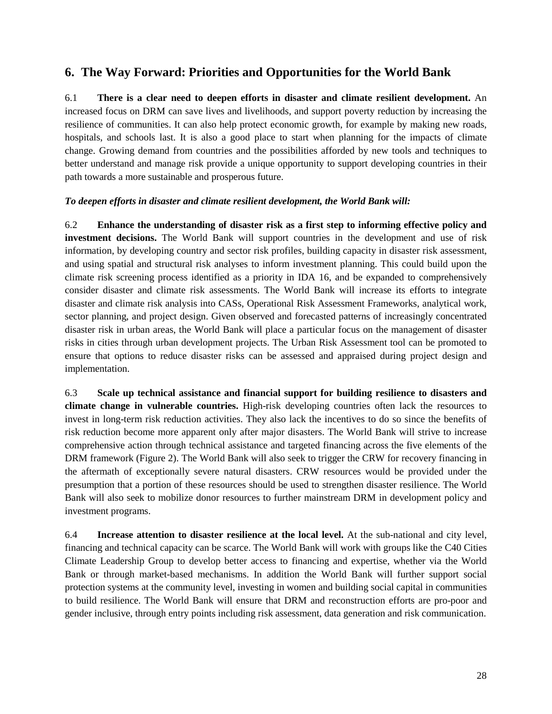## <span id="page-29-0"></span>**6. The Way Forward: Priorities and Opportunities for the World Bank**

6.1 **There is a clear need to deepen efforts in disaster and climate resilient development.** An increased focus on DRM can save lives and livelihoods, and support poverty reduction by increasing the resilience of communities. It can also help protect economic growth, for example by making new roads, hospitals, and schools last. It is also a good place to start when planning for the impacts of climate change. Growing demand from countries and the possibilities afforded by new tools and techniques to better understand and manage risk provide a unique opportunity to support developing countries in their path towards a more sustainable and prosperous future.

### *To deepen efforts in disaster and climate resilient development, the World Bank will:*

6.2 **Enhance the understanding of disaster risk as a first step to informing effective policy and investment decisions.** The World Bank will support countries in the development and use of risk information, by developing country and sector risk profiles, building capacity in disaster risk assessment, and using spatial and structural risk analyses to inform investment planning. This could build upon the climate risk screening process identified as a priority in IDA 16, and be expanded to comprehensively consider disaster and climate risk assessments. The World Bank will increase its efforts to integrate disaster and climate risk analysis into CASs, Operational Risk Assessment Frameworks, analytical work, sector planning, and project design. Given observed and forecasted patterns of increasingly concentrated disaster risk in urban areas, the World Bank will place a particular focus on the management of disaster risks in cities through urban development projects. The Urban Risk Assessment tool can be promoted to ensure that options to reduce disaster risks can be assessed and appraised during project design and implementation.

6.3 **Scale up technical assistance and financial support for building resilience to disasters and climate change in vulnerable countries.** High-risk developing countries often lack the resources to invest in long-term risk reduction activities. They also lack the incentives to do so since the benefits of risk reduction become more apparent only after major disasters. The World Bank will strive to increase comprehensive action through technical assistance and targeted financing across the five elements of the DRM framework (Figure 2). The World Bank will also seek to trigger the CRW for recovery financing in the aftermath of exceptionally severe natural disasters. CRW resources would be provided under the presumption that a portion of these resources should be used to strengthen disaster resilience. The World Bank will also seek to mobilize donor resources to further mainstream DRM in development policy and investment programs.

6.4 **Increase attention to disaster resilience at the local level.** At the sub-national and city level, financing and technical capacity can be scarce. The World Bank will work with groups like the C40 Cities Climate Leadership Group to develop better access to financing and expertise, whether via the World Bank or through market-based mechanisms. In addition the World Bank will further support social protection systems at the community level, investing in women and building social capital in communities to build resilience. The World Bank will ensure that DRM and reconstruction efforts are pro-poor and gender inclusive, through entry points including risk assessment, data generation and risk communication.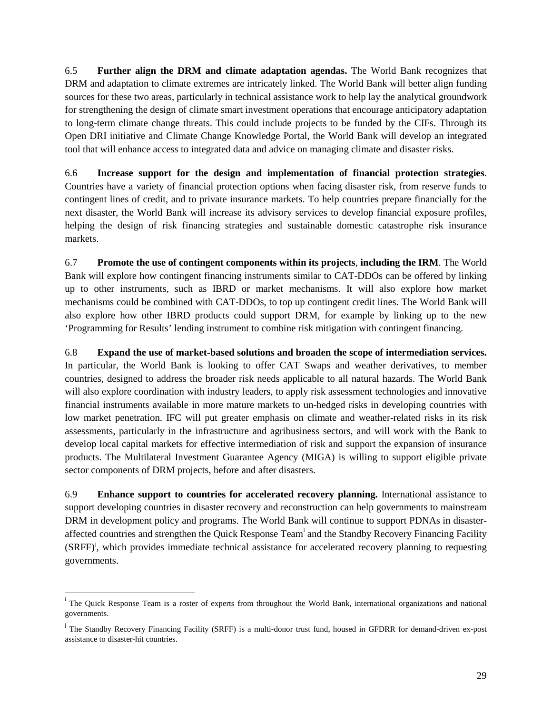6.5 **Further align the DRM and climate adaptation agendas.** The World Bank recognizes that DRM and adaptation to climate extremes are intricately linked. The World Bank will better align funding sources for these two areas, particularly in technical assistance work to help lay the analytical groundwork for strengthening the design of climate smart investment operations that encourage anticipatory adaptation to long-term climate change threats. This could include projects to be funded by the CIFs. Through its Open DRI initiative and Climate Change Knowledge Portal, the World Bank will develop an integrated tool that will enhance access to integrated data and advice on managing climate and disaster risks.

6.6 **Increase support for the design and implementation of financial protection strategies**. Countries have a variety of financial protection options when facing disaster risk, from reserve funds to contingent lines of credit, and to private insurance markets. To help countries prepare financially for the next disaster, the World Bank will increase its advisory services to develop financial exposure profiles, helping the design of risk financing strategies and sustainable domestic catastrophe risk insurance markets.

6.7 **Promote the use of contingent components within its projects**, **including the IRM**. The World Bank will explore how contingent financing instruments similar to CAT-DDOs can be offered by linking up to other instruments, such as IBRD or market mechanisms. It will also explore how market mechanisms could be combined with CAT-DDOs, to top up contingent credit lines. The World Bank will also explore how other IBRD products could support DRM, for example by linking up to the new 'Programming for Results' lending instrument to combine risk mitigation with contingent financing.

6.8 **Expand the use of market-based solutions and broaden the scope of intermediation services.** In particular, the World Bank is looking to offer CAT Swaps and weather derivatives, to member countries, designed to address the broader risk needs applicable to all natural hazards. The World Bank will also explore coordination with industry leaders, to apply risk assessment technologies and innovative financial instruments available in more mature markets to un-hedged risks in developing countries with low market penetration. IFC will put greater emphasis on climate and weather-related risks in its risk assessments, particularly in the infrastructure and agribusiness sectors, and will work with the Bank to develop local capital markets for effective intermediation of risk and support the expansion of insurance products. The Multilateral Investment Guarantee Agency (MIGA) is willing to support eligible private sector components of DRM projects, before and after disasters.

6.9 **Enhance support to countries for accelerated recovery planning.** International assistance to support developing countries in disaster recovery and reconstruction can help governments to mainstream DRM in development policy and programs. The World Bank will continue to support PDNAs in disasteraffected countr[i](#page-30-0)es and strengthen the Quick Response Team<sup>i</sup> and the Standby Recovery Financing Facility  $(SRFF)<sup>j</sup>$  $(SRFF)<sup>j</sup>$  $(SRFF)<sup>j</sup>$ , which provides immediate technical assistance for accelerated recovery planning to requesting governments.

<span id="page-30-0"></span>i <sup>1</sup> The Quick Response Team is a roster of experts from throughout the World Bank, international organizations and national governments.

<span id="page-30-1"></span><sup>&</sup>lt;sup>j</sup> The Standby Recovery Financing Facility (SRFF) is a multi-donor trust fund, housed in GFDRR for demand-driven ex-post assistance to disaster-hit countries.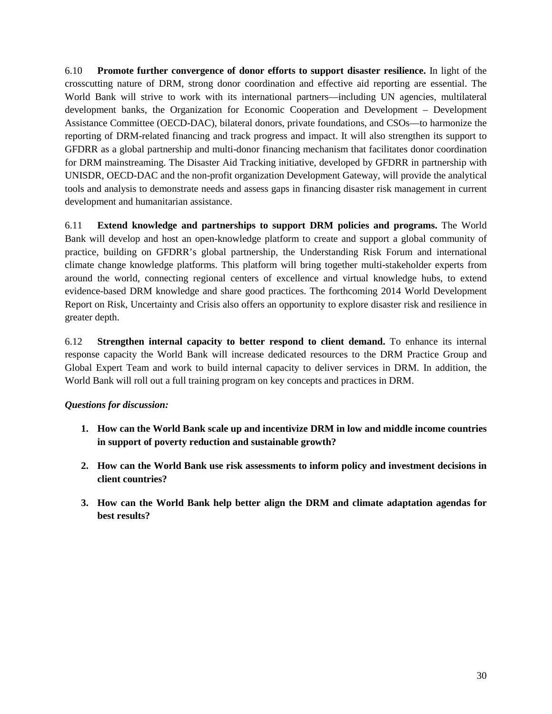6.10 **Promote further convergence of donor efforts to support disaster resilience.** In light of the crosscutting nature of DRM, strong donor coordination and effective aid reporting are essential. The World Bank will strive to work with its international partners—including UN agencies, multilateral development banks, the Organization for Economic Cooperation and Development – Development Assistance Committee (OECD-DAC), bilateral donors, private foundations, and CSOs—to harmonize the reporting of DRM-related financing and track progress and impact. It will also strengthen its support to GFDRR as a global partnership and multi-donor financing mechanism that facilitates donor coordination for DRM mainstreaming. The Disaster Aid Tracking initiative, developed by GFDRR in partnership with UNISDR, OECD-DAC and the non-profit organization Development Gateway, will provide the analytical tools and analysis to demonstrate needs and assess gaps in financing disaster risk management in current development and humanitarian assistance.

6.11 **Extend knowledge and partnerships to support DRM policies and programs.** The World Bank will develop and host an open-knowledge platform to create and support a global community of practice, building on GFDRR's global partnership, the Understanding Risk Forum and international climate change knowledge platforms. This platform will bring together multi-stakeholder experts from around the world, connecting regional centers of excellence and virtual knowledge hubs, to extend evidence-based DRM knowledge and share good practices. The forthcoming 2014 World Development Report on Risk, Uncertainty and Crisis also offers an opportunity to explore disaster risk and resilience in greater depth.

6.12 **Strengthen internal capacity to better respond to client demand.** To enhance its internal response capacity the World Bank will increase dedicated resources to the DRM Practice Group and Global Expert Team and work to build internal capacity to deliver services in DRM. In addition, the World Bank will roll out a full training program on key concepts and practices in DRM.

### *Questions for discussion:*

- **1. How can the World Bank scale up and incentivize DRM in low and middle income countries in support of poverty reduction and sustainable growth?**
- **2. How can the World Bank use risk assessments to inform policy and investment decisions in client countries?**
- **3. How can the World Bank help better align the DRM and climate adaptation agendas for best results?**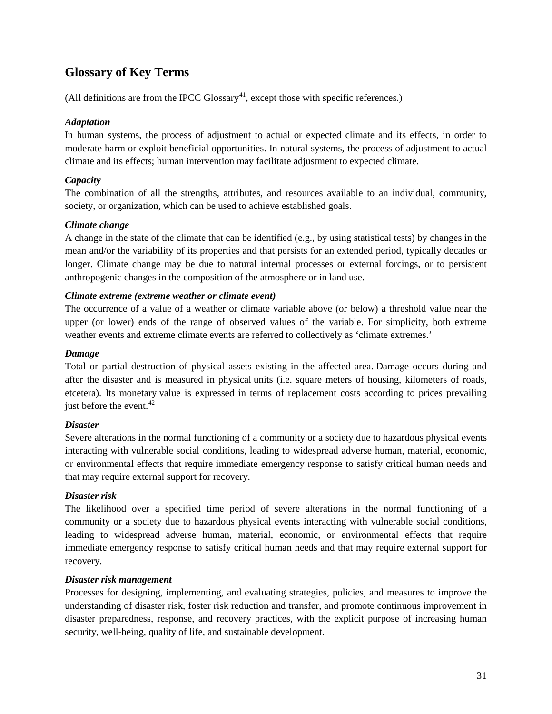# <span id="page-32-0"></span>**Glossary of Key Terms**

(All definitions are from the IPCC  $Glossary<sup>41</sup>$ , except those with specific references.)

### *Adaptation*

In human systems, the process of adjustment to actual or expected climate and its effects, in order to moderate harm or exploit beneficial opportunities. In natural systems, the process of adjustment to actual climate and its effects; human intervention may facilitate adjustment to expected climate.

### *Capacity*

The combination of all the strengths, attributes, and resources available to an individual, community, society, or organization, which can be used to achieve established goals.

### *Climate change*

A change in the state of the climate that can be identified (e.g., by using statistical tests) by changes in the mean and/or the variability of its properties and that persists for an extended period, typically decades or longer. Climate change may be due to natural internal processes or external forcings, or to persistent anthropogenic changes in the composition of the atmosphere or in land use.

### *Climate extreme (extreme weather or climate event)*

The occurrence of a value of a weather or climate variable above (or below) a threshold value near the upper (or lower) ends of the range of observed values of the variable. For simplicity, both extreme weather events and extreme climate events are referred to collectively as 'climate extremes.'

### *Damage*

Total or partial destruction of physical assets existing in the affected area. Damage occurs during and after the disaster and is measured in physical units (i.e. square meters of housing, kilometers of roads, etcetera). Its monetary value is expressed in terms of replacement costs according to prices prevailing just before the event. $42$ 

### *Disaster*

Severe alterations in the normal functioning of a community or a society due to hazardous physical events interacting with vulnerable social conditions, leading to widespread adverse human, material, economic, or environmental effects that require immediate emergency response to satisfy critical human needs and that may require external support for recovery.

### *Disaster risk*

The likelihood over a specified time period of severe alterations in the normal functioning of a community or a society due to hazardous physical events interacting with vulnerable social conditions, leading to widespread adverse human, material, economic, or environmental effects that require immediate emergency response to satisfy critical human needs and that may require external support for recovery.

### *Disaster risk management*

Processes for designing, implementing, and evaluating strategies, policies, and measures to improve the understanding of disaster risk, foster risk reduction and transfer, and promote continuous improvement in disaster preparedness, response, and recovery practices, with the explicit purpose of increasing human security, well-being, quality of life, and sustainable development.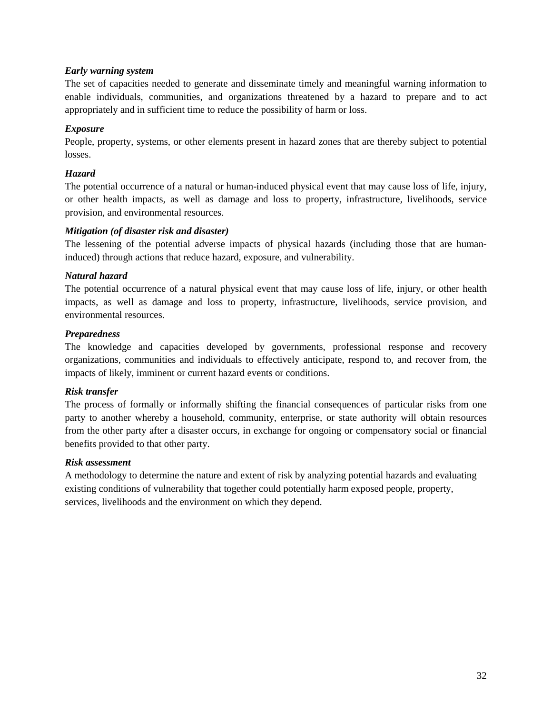### *Early warning system*

The set of capacities needed to generate and disseminate timely and meaningful warning information to enable individuals, communities, and organizations threatened by a hazard to prepare and to act appropriately and in sufficient time to reduce the possibility of harm or loss.

### *Exposure*

People, property, systems, or other elements present in hazard zones that are thereby subject to potential losses.

### *Hazard*

The potential occurrence of a natural or human-induced physical event that may cause loss of life, injury, or other health impacts, as well as damage and loss to property, infrastructure, livelihoods, service provision, and environmental resources.

### *Mitigation (of disaster risk and disaster)*

The lessening of the potential adverse impacts of physical hazards (including those that are humaninduced) through actions that reduce hazard, exposure, and vulnerability.

### *Natural hazard*

The potential occurrence of a natural physical event that may cause loss of life, injury, or other health impacts, as well as damage and loss to property, infrastructure, livelihoods, service provision, and environmental resources.

### *Preparedness*

The knowledge and capacities developed by governments, professional response and recovery organizations, communities and individuals to effectively anticipate, respond to, and recover from, the impacts of likely, imminent or current hazard events or conditions.

### *Risk transfer*

The process of formally or informally shifting the financial consequences of particular risks from one party to another whereby a household, community, enterprise, or state authority will obtain resources from the other party after a disaster occurs, in exchange for ongoing or compensatory social or financial benefits provided to that other party.

### *Risk assessment*

A methodology to determine the nature and extent of risk by analyzing potential hazards and evaluating existing conditions of vulnerability that together could potentially harm exposed people, property, services, livelihoods and the environment on which they depend.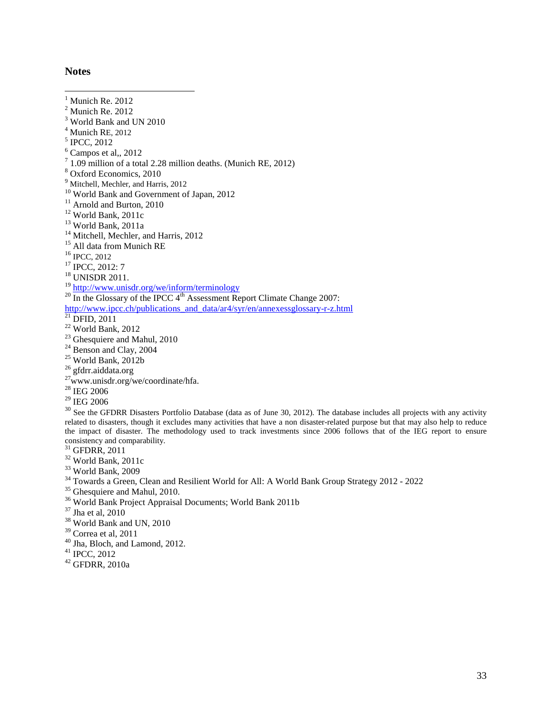### <span id="page-34-0"></span>**Notes**

<span id="page-34-3"></span><span id="page-34-2"></span><span id="page-34-1"></span> $<sup>1</sup>$  Munich Re. 2012</sup>  $<sup>2</sup>$  Munich Re. 2012</sup> <sup>3</sup> World Bank and UN 2010  $^{4}$  Munich RE, 2012<br> $^{5}$  IPCC, 2012  $\frac{6}{1}$  Campos et al., 2012<br> $\frac{7}{1}$  1.09 million of a total 2.28 million deaths. (Munich RE, 2012) <sup>7</sup> 1.09 million of a total 2.28 million deaths. (Munich RE, 2012)<br>
<sup>8</sup> Oxford Economics, 2010<br>
<sup>9</sup> Mitchell, Mechler, and Harris, 2012<br>
<sup>10</sup> World Bank and Government of Japan, 2012<br>
<sup>11</sup> Arnold and Burton, 2010<br>
<sup>12</sup> Wo <sup>19</sup> <http://www.unisdr.org/we/inform/terminology><br><sup>20</sup> In the Glossary of the IPCC 4<sup>th</sup> Assessment Report Climate Change 2007: [http://www.ipcc.ch/publications\\_and\\_data/ar4/syr/en/annexessglossary-r-z.html](http://www.ipcc.ch/publications_and_data/ar4/syr/en/annexessglossary-r-z.html)<br>
<sup>21</sup> DFID, 2011<br>
<sup>22</sup> World Bank, 2012<br>
<sup>23</sup> Ghesquiere and Mahul, 2010<br>
<sup>24</sup> Benson and Clay, 2004<br>
<sup>25</sup> World Bank, 2012b<br>
<sup>25</sup> World Bank,  $\frac{^{28}}{^{29}}$  IEG 2006

 $30$  See the GFDRR Disasters Portfolio Database (data as of June 30, 2012). The database includes all projects with any activity related to disasters, though it excludes many activities that have a non disaster-related purpose but that may also help to reduce the impact of disaster. The methodology used to track investments since 2006 follows that of the IEG report to ensure consistency and comparability.<br><sup>31</sup> GFDRR, 2011

- 
- 
- 
- <sup>32</sup> World Bank, 2011c<br><sup>33</sup> World Bank, 2009<br><sup>34</sup> Towards a Green, Clean and Resilient World for All: A World Bank Group Strategy 2012 2022<br><sup>35</sup> Ghesquiere and Mahul, 2010.<br><sup>36</sup> World Bank Project Appraisal Documents; W
- 
- 
- 
- 
- 
- <sup>40</sup> Jha, Bloch, and Lamond, 2012.<br><sup>41</sup> IPCC, 2012<br><sup>42</sup> GFDRR, 2010a
- 
-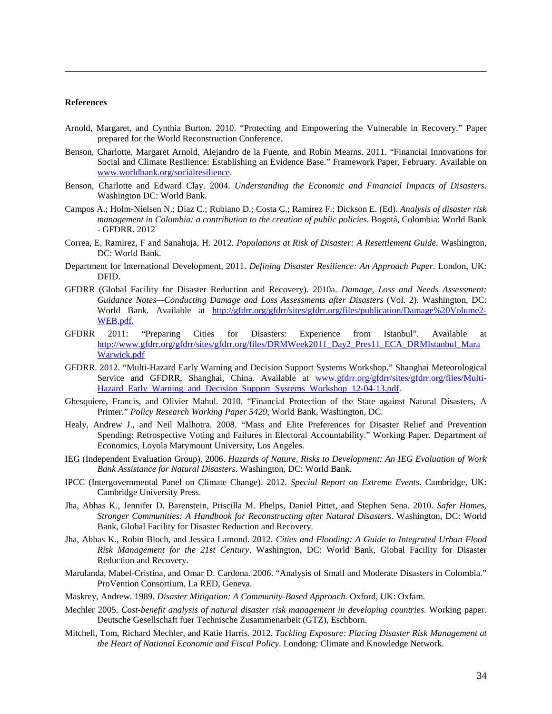#### **References**

 $\overline{a}$ 

- <span id="page-35-0"></span>Arnold, Margaret, and Cynthia Burton. 2010. "Protecting and Empowering the Vulnerable in Recovery." Paper prepared for the World Reconstruction Conference.
- <span id="page-35-1"></span>Benson, Charlotte, Margaret Arnold, Alejandro de la Fuente, and Robin Mearns. 2011. "Financial Innovations for Social and Climate Resilience: Establishing an Evidence Base." Framework Paper, February. Available on [www.worldbank.org/socialresilience.](http://www.worldbank.org/socialresilience)
- Benson, Charlotte and Edward Clay. 2004. *Understanding the Economic and Financial Impacts of Disasters*. Washington DC: World Bank.
- Campos A.; Holm-Nielsen N.; Díaz C.; Rubiano D.; Costa C.; Ramírez F.; Dickson E. (Ed). *Analysis of disaster risk management in Colombia: a contribution to the creation of public policies*. Bogotá, Colombia: World Bank - GFDRR. 2012
- Correa, E, Ramirez, F and Sanahuja, H. 2012. *Populations at Risk of Disaster: A Resettlement Guide*. Washington, DC: World Bank.
- Department for International Development, 2011. *Defining Disaster Resilience: An Approach Paper*. London, UK: DFID.
- GFDRR (Global Facility for Disaster Reduction and Recovery). 2010a. *Damage, Loss and Needs Assessment: Guidance Notes—Conducting Damage and Loss Assessments after Disasters* (Vol. 2). Washington, DC: World Bank. Available at [http://gfdrr.org/gfdrr/sites/gfdrr.org/files/publication/Damage%20Volume2-](http://gfdrr.org/gfdrr/sites/gfdrr.org/files/publication/Damage%20Volume2-WEB.pdf) [WEB.pdf.](http://gfdrr.org/gfdrr/sites/gfdrr.org/files/publication/Damage%20Volume2-WEB.pdf)
- GFDRR 2011: "Preparing Cities for Disasters: Experience from Istanbul". Available at [http://www.gfdrr.org/gfdrr/sites/gfdrr.org/files/DRMWeek2011\\_Day2\\_Pres11\\_ECA\\_DRMIstanbul\\_Mara](http://www.gfdrr.org/gfdrr/sites/gfdrr.org/files/DRMWeek2011_Day2_Pres11_ECA_DRMIstanbul_MaraWarwick.pdf) [Warwick.pdf](http://www.gfdrr.org/gfdrr/sites/gfdrr.org/files/DRMWeek2011_Day2_Pres11_ECA_DRMIstanbul_MaraWarwick.pdf)
- GFDRR. 2012. "Multi-Hazard Early Warning and Decision Support Systems Workshop." Shanghai Meteorological Service and GFDRR, Shanghai, China. Available at [www.gfdrr.org/gfdrr/sites/gfdrr.org/files/Multi-](http://www.gfdrr.org/gfdrr/sites/gfdrr.org/files/Multi-Hazard_Early_Warning_and_Decision_Support_Systems_Workshop_12-04-13.pdf)[Hazard\\_Early\\_Warning\\_and\\_Decision\\_Support\\_Systems\\_Workshop\\_12-04-13.pdf.](http://www.gfdrr.org/gfdrr/sites/gfdrr.org/files/Multi-Hazard_Early_Warning_and_Decision_Support_Systems_Workshop_12-04-13.pdf)
- Ghesquiere, Francis, and Olivier Mahul. 2010. "Financial Protection of the State against Natural Disasters, A Primer." *Policy Research Working Paper 5429*, World Bank, Washington, DC.
- Healy, Andrew J., and Neil Malhotra. 2008. "Mass and Elite Preferences for Disaster Relief and Prevention Spending: Retrospective Voting and Failures in Electoral Accountability." Working Paper. Department of Economics, Loyola Marymount University, Los Angeles.
- IEG (Independent Evaluation Group). 2006. *Hazards of Nature, Risks to Development: An IEG Evaluation of Work Bank Assistance for Natural Disasters*. Washington, DC: World Bank.
- IPCC (Intergovernmental Panel on Climate Change). 2012. *Special Report on Extreme Events.* Cambridge, UK: Cambridge University Press.
- Jha, Abhas K., Jennifer D. Barenstein, Priscilla M. Phelps, Daniel Pittet, and Stephen Sena. 2010. *Safer Homes, Stronger Communities: A Handbook for Reconstructing after Natural Disasters*. Washington, DC: World Bank, Global Facility for Disaster Reduction and Recovery.
- Jha, Abhas K., Robin Bloch, and Jessica Lamond. 2012. *Cities and Flooding: A Guide to Integrated Urban Flood Risk Management for the 21st Century*. Washington, DC: World Bank, Global Facility for Disaster Reduction and Recovery.
- Marulanda, Mabel-Cristina, and Omar D. Cardona. 2006. "Analysis of Small and Moderate Disasters in Colombia." ProVention Consortium, La RED, Geneva.
- Maskrey, Andrew. 1989. *Disaster Mitigation: A Community-Based Approach.* Oxford, UK: Oxfam.
- Mechler 2005. *Cost-benefit analysis of natural disaster risk management in developing countries.* Working paper. Deutsche Gesellschaft fuer Technische Zusammenarbeit (GTZ), Eschborn.
- Mitchell, Tom, Richard Mechler, and Katie Harris. 2012. *Tackling Exposure: Placing Disaster Risk Management at the Heart of National Economic and Fiscal Policy*. Londong: Climate and Knowledge Network.